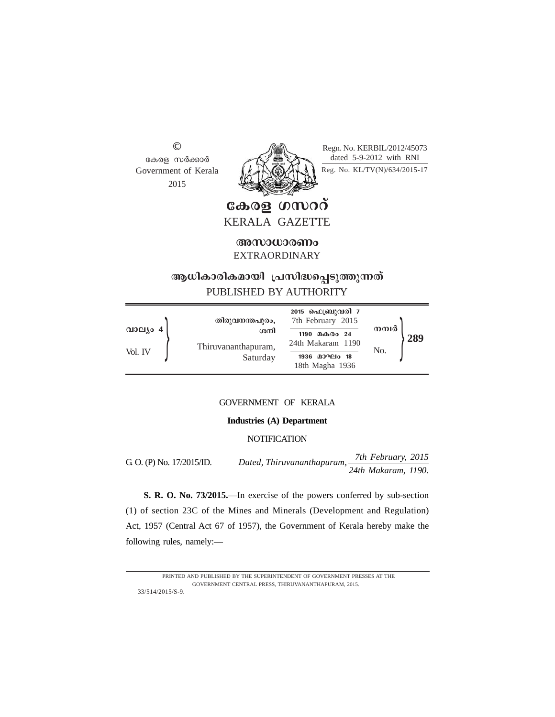© കേരള സർക്കാർ Government of Kerala 2015



Regn. No. KERBIL/2012/45073 dated 5-9-2012 with RNI

Reg. No. KL/TV(N)/634/2015-17

കേരള ഗസററ് KERALA GAZETTE

**Manufacturity** EXTRAORDINARY

# ആധികാരികമായി പ്രസിദ്ധപ്പെടുത്തുന്നത് PUBLISHED BY AUTHORITY

|          | തിരുവനന്തപുരം,             | <b>2015 ഫെബ്രുവരി</b> 7<br>7th February 2015 |                     |
|----------|----------------------------|----------------------------------------------|---------------------|
| വാല്യം 4 | ശനി<br>Thiruvananthapuram, | മകരം 24<br>1190<br>24th Makaram 1190         | നമ്പർ<br>289<br>No. |
| Vol. IV  | Saturday                   | 1936 മാഘം 18<br>18th Magha 1936              |                     |

# GOVERNMENT OF KERALA

## **Industries (A) Department**

# **NOTIFICATION**

G. O. (P) No. 17/2015/ID. *Dated, Thiruvananthapuram, 7th February, 2015 24th Makaram, 1190.*

**S. R. O. No. 73/2015.**—In exercise of the powers conferred by sub-section (1) of section 23C of the Mines and Minerals (Development and Regulation) Act, 1957 (Central Act 67 of 1957), the Government of Kerala hereby make the following rules, namely:—

<sup>33/514/2015/</sup>S-9. PRINTED AND PUBLISHED BY THE SUPERINTENDENT OF GOVERNMENT PRESSES AT THE GOVERNMENT CENTRAL PRESS, THIRUVANANTHAPURAM, 2015.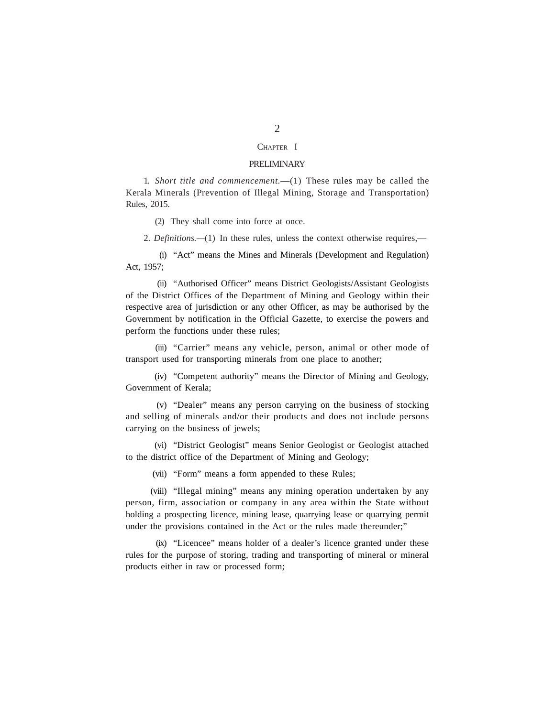#### CHAPTER I

#### PRELIMINARY

1. *Short title and commencement.*—(1) These rules may be called the Kerala Minerals (Prevention of Illegal Mining, Storage and Transportation) Rules, 2015.

(2) They shall come into force at once.

2. *Definitions.—*(1) In these rules, unless the context otherwise requires,—

(i) "Act" means the Mines and Minerals (Development and Regulation) Act, 1957;

(ii) "Authorised Officer" means District Geologists/Assistant Geologists of the District Offices of the Department of Mining and Geology within their respective area of jurisdiction or any other Officer, as may be authorised by the Government by notification in the Official Gazette, to exercise the powers and perform the functions under these rules;

(iii) "Carrier" means any vehicle, person, animal or other mode of transport used for transporting minerals from one place to another;

(iv) "Competent authority" means the Director of Mining and Geology, Government of Kerala;

(v) "Dealer" means any person carrying on the business of stocking and selling of minerals and/or their products and does not include persons carrying on the business of jewels;

(vi) "District Geologist" means Senior Geologist or Geologist attached to the district office of the Department of Mining and Geology;

(vii) "Form" means a form appended to these Rules;

(viii) "Illegal mining" means any mining operation undertaken by any person, firm, association or company in any area within the State without holding a prospecting licence, mining lease, quarrying lease or quarrying permit under the provisions contained in the Act or the rules made thereunder;"

(ix) "Licencee" means holder of a dealer's licence granted under these rules for the purpose of storing, trading and transporting of mineral or mineral products either in raw or processed form;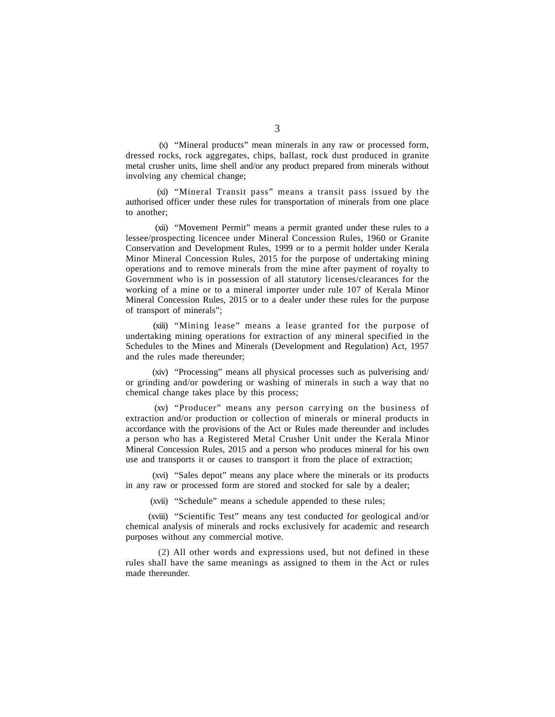(x) "Mineral products" mean minerals in any raw or processed form, dressed rocks, rock aggregates, chips, ballast, rock dust produced in granite metal crusher units, lime shell and/or any product prepared from minerals without involving any chemical change;

(xi) "Mineral Transit pass" means a transit pass issued by the authorised officer under these rules for transportation of minerals from one place to another;

(xii) "Movement Permit" means a permit granted under these rules to a lessee/prospecting licencee under Mineral Concession Rules, 1960 or Granite Conservation and Development Rules, 1999 or to a permit holder under Kerala Minor Mineral Concession Rules, 2015 for the purpose of undertaking mining operations and to remove minerals from the mine after payment of royalty to Government who is in possession of all statutory licenses/clearances for the working of a mine or to a mineral importer under rule 107 of Kerala Minor Mineral Concession Rules, 2015 or to a dealer under these rules for the purpose of transport of minerals";

(xiii) "Mining lease" means a lease granted for the purpose of undertaking mining operations for extraction of any mineral specified in the Schedules to the Mines and Minerals (Development and Regulation) Act, 1957 and the rules made thereunder;

(xiv) "Processing" means all physical processes such as pulverising and/ or grinding and/or powdering or washing of minerals in such a way that no chemical change takes place by this process;

(xv) "Producer" means any person carrying on the business of extraction and/or production or collection of minerals or mineral products in accordance with the provisions of the Act or Rules made thereunder and includes a person who has a Registered Metal Crusher Unit under the Kerala Minor Mineral Concession Rules, 2015 and a person who produces mineral for his own use and transports it or causes to transport it from the place of extraction;

(xvi) "Sales depot" means any place where the minerals or its products in any raw or processed form are stored and stocked for sale by a dealer;

(xvii) "Schedule" means a schedule appended to these rules;

(xviii) "Scientific Test" means any test conducted for geological and/or chemical analysis of minerals and rocks exclusively for academic and research purposes without any commercial motive.

(2) All other words and expressions used, but not defined in these rules shall have the same meanings as assigned to them in the Act or rules made thereunder.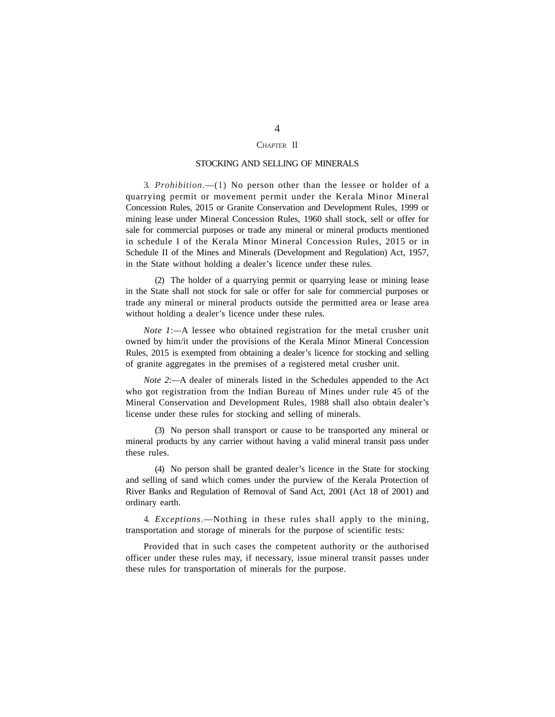#### CHAPTER II

#### STOCKING AND SELLING OF MINERALS

3. *Prohibition.*—(1) No person other than the lessee or holder of a quarrying permit or movement permit under the Kerala Minor Mineral Concession Rules, 2015 or Granite Conservation and Development Rules, 1999 or mining lease under Mineral Concession Rules, 1960 shall stock, sell or offer for sale for commercial purposes or trade any mineral or mineral products mentioned in schedule I of the Kerala Minor Mineral Concession Rules, 2015 or in Schedule II of the Mines and Minerals (Development and Regulation) Act, 1957, in the State without holding a dealer's licence under these rules.

(2) The holder of a quarrying permit or quarrying lease or mining lease in the State shall not stock for sale or offer for sale for commercial purposes or trade any mineral or mineral products outside the permitted area or lease area without holding a dealer's licence under these rules.

*Note 1*:*—*A lessee who obtained registration for the metal crusher unit owned by him/it under the provisions of the Kerala Minor Mineral Concession Rules, 2015 is exempted from obtaining a dealer's licence for stocking and selling of granite aggregates in the premises of a registered metal crusher unit.

*Note 2*:*—*A dealer of minerals listed in the Schedules appended to the Act who got registration from the Indian Bureau of Mines under rule 45 of the Mineral Conservation and Development Rules, 1988 shall also obtain dealer's license under these rules for stocking and selling of minerals.

(3) No person shall transport or cause to be transported any mineral or mineral products by any carrier without having a valid mineral transit pass under these rules.

(4) No person shall be granted dealer's licence in the State for stocking and selling of sand which comes under the purview of the Kerala Protection of River Banks and Regulation of Removal of Sand Act, 2001 (Act 18 of 2001) and ordinary earth.

4. *Exceptions*.—Nothing in these rules shall apply to the mining, transportation and storage of minerals for the purpose of scientific tests:

Provided that in such cases the competent authority or the authorised officer under these rules may, if necessary, issue mineral transit passes under these rules for transportation of minerals for the purpose.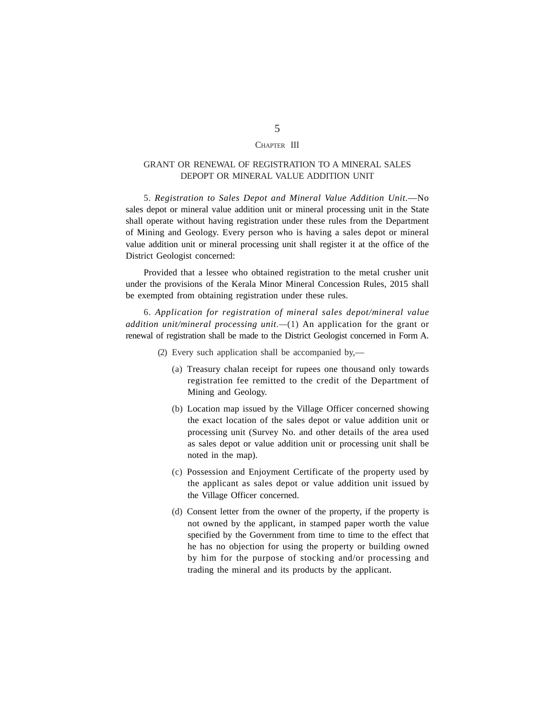#### CHAPTER III

# GRANT OR RENEWAL OF REGISTRATION TO A MINERAL SALES DEPOPT OR MINERAL VALUE ADDITION UNIT

5. *Registration to Sales Depot and Mineral Value Addition Unit.*—No sales depot or mineral value addition unit or mineral processing unit in the State shall operate without having registration under these rules from the Department of Mining and Geology. Every person who is having a sales depot or mineral value addition unit or mineral processing unit shall register it at the office of the District Geologist concerned:

Provided that a lessee who obtained registration to the metal crusher unit under the provisions of the Kerala Minor Mineral Concession Rules, 2015 shall be exempted from obtaining registration under these rules.

6. *Application for registration of mineral sales depot/mineral value addition unit/mineral processing unit.—*(1) An application for the grant or renewal of registration shall be made to the District Geologist concerned in Form A.

- (2) Every such application shall be accompanied by,—
	- (a) Treasury chalan receipt for rupees one thousand only towards registration fee remitted to the credit of the Department of Mining and Geology.
	- (b) Location map issued by the Village Officer concerned showing the exact location of the sales depot or value addition unit or processing unit (Survey No. and other details of the area used as sales depot or value addition unit or processing unit shall be noted in the map).
	- (c) Possession and Enjoyment Certificate of the property used by the applicant as sales depot or value addition unit issued by the Village Officer concerned.
	- (d) Consent letter from the owner of the property, if the property is not owned by the applicant, in stamped paper worth the value specified by the Government from time to time to the effect that he has no objection for using the property or building owned by him for the purpose of stocking and/or processing and trading the mineral and its products by the applicant.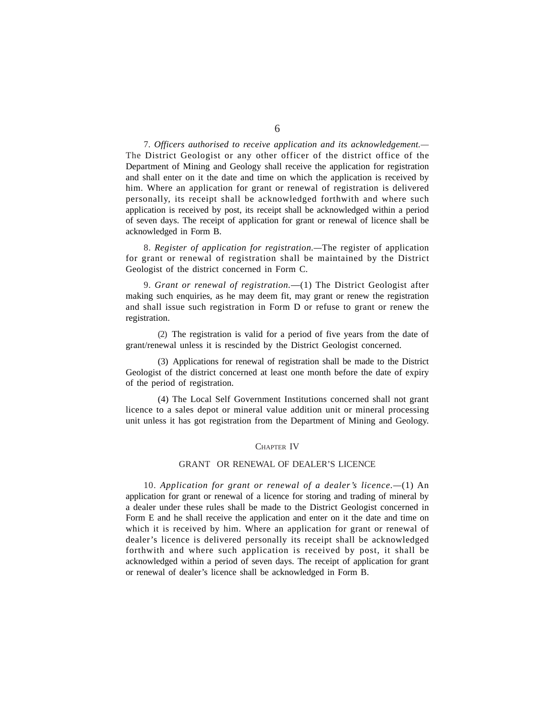7. *Officers authorised to receive application and its acknowledgement.—* The District Geologist or any other officer of the district office of the Department of Mining and Geology shall receive the application for registration and shall enter on it the date and time on which the application is received by him. Where an application for grant or renewal of registration is delivered personally, its receipt shall be acknowledged forthwith and where such application is received by post, its receipt shall be acknowledged within a period of seven days. The receipt of application for grant or renewal of licence shall be acknowledged in Form B.

8. *Register of application for registration.—*The register of application for grant or renewal of registration shall be maintained by the District Geologist of the district concerned in Form C.

9. *Grant or renewal of registration.*—(1) The District Geologist after making such enquiries, as he may deem fit, may grant or renew the registration and shall issue such registration in Form D or refuse to grant or renew the registration.

(2) The registration is valid for a period of five years from the date of grant/renewal unless it is rescinded by the District Geologist concerned.

(3) Applications for renewal of registration shall be made to the District Geologist of the district concerned at least one month before the date of expiry of the period of registration.

(4) The Local Self Government Institutions concerned shall not grant licence to a sales depot or mineral value addition unit or mineral processing unit unless it has got registration from the Department of Mining and Geology.

#### CHAPTER IV

## GRANT OR RENEWAL OF DEALER'S LICENCE

10. *Application for grant or renewal of a dealer's licence.—*(1) An application for grant or renewal of a licence for storing and trading of mineral by a dealer under these rules shall be made to the District Geologist concerned in Form E and he shall receive the application and enter on it the date and time on which it is received by him. Where an application for grant or renewal of dealer's licence is delivered personally its receipt shall be acknowledged forthwith and where such application is received by post, it shall be acknowledged within a period of seven days. The receipt of application for grant or renewal of dealer's licence shall be acknowledged in Form B.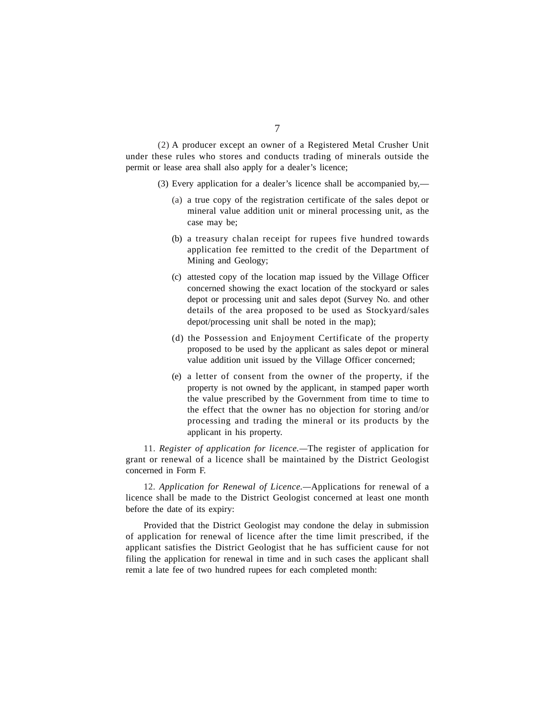(2) A producer except an owner of a Registered Metal Crusher Unit under these rules who stores and conducts trading of minerals outside the permit or lease area shall also apply for a dealer's licence;

- (3) Every application for a dealer's licence shall be accompanied by,—
	- (a) a true copy of the registration certificate of the sales depot or mineral value addition unit or mineral processing unit, as the case may be;
	- (b) a treasury chalan receipt for rupees five hundred towards application fee remitted to the credit of the Department of Mining and Geology;
	- (c) attested copy of the location map issued by the Village Officer concerned showing the exact location of the stockyard or sales depot or processing unit and sales depot (Survey No. and other details of the area proposed to be used as Stockyard/sales depot/processing unit shall be noted in the map);
	- (d) the Possession and Enjoyment Certificate of the property proposed to be used by the applicant as sales depot or mineral value addition unit issued by the Village Officer concerned;
	- (e) a letter of consent from the owner of the property, if the property is not owned by the applicant, in stamped paper worth the value prescribed by the Government from time to time to the effect that the owner has no objection for storing and/or processing and trading the mineral or its products by the applicant in his property.

11. *Register of application for licence.—*The register of application for grant or renewal of a licence shall be maintained by the District Geologist concerned in Form F.

12. *Application for Renewal of Licence.—*Applications for renewal of a licence shall be made to the District Geologist concerned at least one month before the date of its expiry:

Provided that the District Geologist may condone the delay in submission of application for renewal of licence after the time limit prescribed, if the applicant satisfies the District Geologist that he has sufficient cause for not filing the application for renewal in time and in such cases the applicant shall remit a late fee of two hundred rupees for each completed month: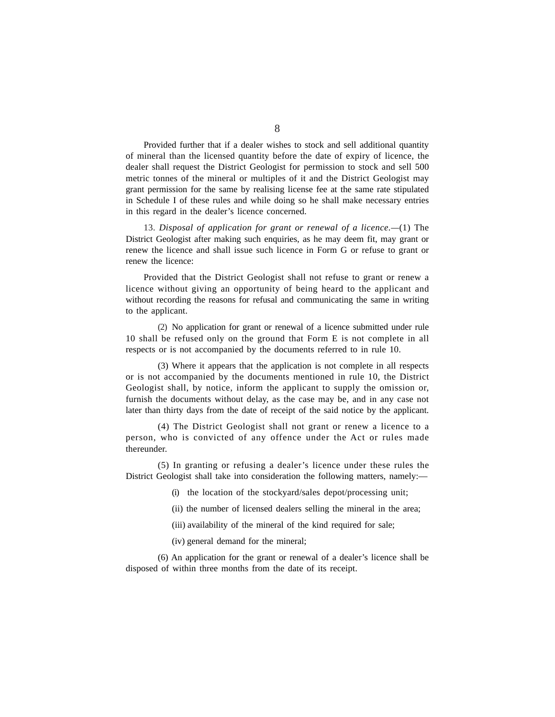Provided further that if a dealer wishes to stock and sell additional quantity of mineral than the licensed quantity before the date of expiry of licence, the dealer shall request the District Geologist for permission to stock and sell 500 metric tonnes of the mineral or multiples of it and the District Geologist may grant permission for the same by realising license fee at the same rate stipulated in Schedule I of these rules and while doing so he shall make necessary entries in this regard in the dealer's licence concerned.

13. *Disposal of application for grant or renewal of a licence.—*(1) The District Geologist after making such enquiries, as he may deem fit, may grant or renew the licence and shall issue such licence in Form G or refuse to grant or renew the licence:

Provided that the District Geologist shall not refuse to grant or renew a licence without giving an opportunity of being heard to the applicant and without recording the reasons for refusal and communicating the same in writing to the applicant.

(2) No application for grant or renewal of a licence submitted under rule 10 shall be refused only on the ground that Form E is not complete in all respects or is not accompanied by the documents referred to in rule 10.

(3) Where it appears that the application is not complete in all respects or is not accompanied by the documents mentioned in rule 10, the District Geologist shall, by notice, inform the applicant to supply the omission or, furnish the documents without delay, as the case may be, and in any case not later than thirty days from the date of receipt of the said notice by the applicant.

(4) The District Geologist shall not grant or renew a licence to a person, who is convicted of any offence under the Act or rules made thereunder.

(5) In granting or refusing a dealer's licence under these rules the District Geologist shall take into consideration the following matters, namely:—

(i) the location of the stockyard/sales depot/processing unit;

(ii) the number of licensed dealers selling the mineral in the area;

(iii) availability of the mineral of the kind required for sale;

(iv) general demand for the mineral;

(6) An application for the grant or renewal of a dealer's licence shall be disposed of within three months from the date of its receipt.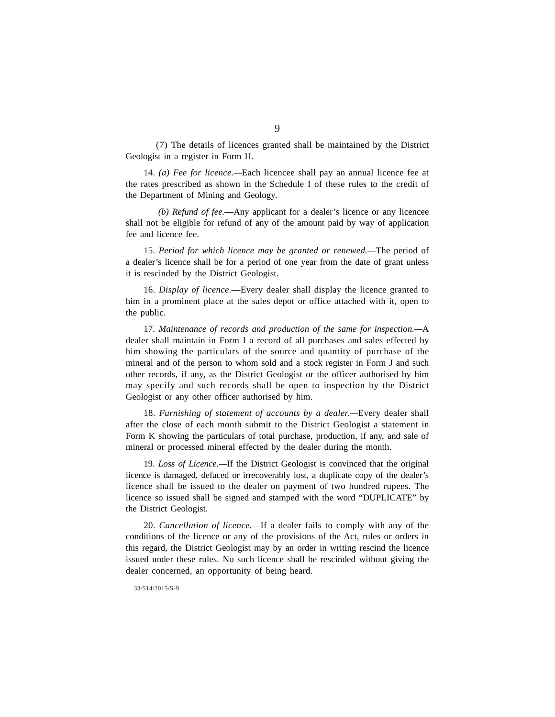(7) The details of licences granted shall be maintained by the District Geologist in a register in Form H.

14. *(a) Fee for licence.—*Each licencee shall pay an annual licence fee at the rates prescribed as shown in the Schedule I of these rules to the credit of the Department of Mining and Geology.

*(b) Refund of fee.*—Any applicant for a dealer's licence or any licencee shall not be eligible for refund of any of the amount paid by way of application fee and licence fee.

15. *Period for which licence may be granted or renewed.—*The period of a dealer's licence shall be for a period of one year from the date of grant unless it is rescinded by the District Geologist.

16. *Display of licence*.—Every dealer shall display the licence granted to him in a prominent place at the sales depot or office attached with it, open to the public.

17. *Maintenance of records and production of the same for inspection.—*A dealer shall maintain in Form I a record of all purchases and sales effected by him showing the particulars of the source and quantity of purchase of the mineral and of the person to whom sold and a stock register in Form J and such other records, if any, as the District Geologist or the officer authorised by him may specify and such records shall be open to inspection by the District Geologist or any other officer authorised by him.

18. *Furnishing of statement of accounts by a dealer.—*Every dealer shall after the close of each month submit to the District Geologist a statement in Form K showing the particulars of total purchase, production, if any, and sale of mineral or processed mineral effected by the dealer during the month.

19. *Loss of Licence.—*If the District Geologist is convinced that the original licence is damaged, defaced or irrecoverably lost, a duplicate copy of the dealer's licence shall be issued to the dealer on payment of two hundred rupees. The licence so issued shall be signed and stamped with the word "DUPLICATE" by the District Geologist.

20. *Cancellation of licence.—*If a dealer fails to comply with any of the conditions of the licence or any of the provisions of the Act, rules or orders in this regard, the District Geologist may by an order in writing rescind the licence issued under these rules. No such licence shall be rescinded without giving the dealer concerned, an opportunity of being heard.

33/514/2015/S-9.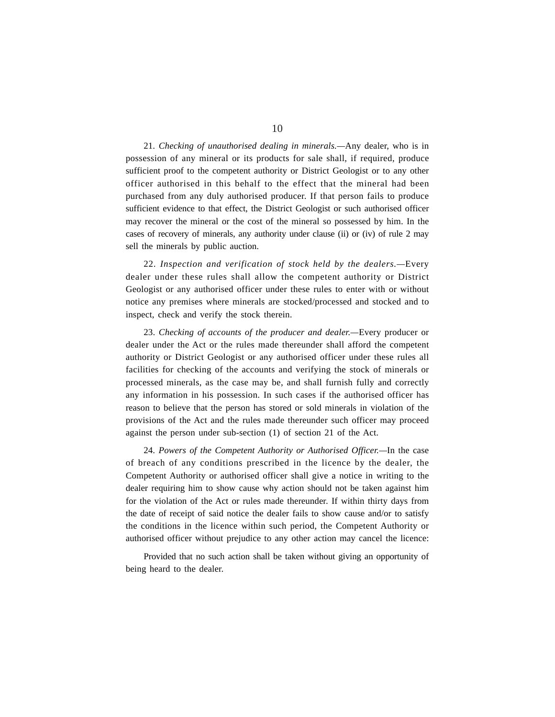21. *Checking of unauthorised dealing in minerals.—*Any dealer, who is in possession of any mineral or its products for sale shall, if required, produce sufficient proof to the competent authority or District Geologist or to any other officer authorised in this behalf to the effect that the mineral had been purchased from any duly authorised producer. If that person fails to produce sufficient evidence to that effect, the District Geologist or such authorised officer may recover the mineral or the cost of the mineral so possessed by him. In the cases of recovery of minerals, any authority under clause (ii) or (iv) of rule 2 may sell the minerals by public auction.

22. *Inspection and verification of stock held by the dealers.—*Every dealer under these rules shall allow the competent authority or District Geologist or any authorised officer under these rules to enter with or without notice any premises where minerals are stocked/processed and stocked and to inspect, check and verify the stock therein.

23. *Checking of accounts of the producer and dealer.—*Every producer or dealer under the Act or the rules made thereunder shall afford the competent authority or District Geologist or any authorised officer under these rules all facilities for checking of the accounts and verifying the stock of minerals or processed minerals, as the case may be, and shall furnish fully and correctly any information in his possession. In such cases if the authorised officer has reason to believe that the person has stored or sold minerals in violation of the provisions of the Act and the rules made thereunder such officer may proceed against the person under sub-section (1) of section 21 of the Act.

24. *Powers of the Competent Authority or Authorised Officer.—*In the case of breach of any conditions prescribed in the licence by the dealer, the Competent Authority or authorised officer shall give a notice in writing to the dealer requiring him to show cause why action should not be taken against him for the violation of the Act or rules made thereunder. If within thirty days from the date of receipt of said notice the dealer fails to show cause and/or to satisfy the conditions in the licence within such period, the Competent Authority or authorised officer without prejudice to any other action may cancel the licence:

Provided that no such action shall be taken without giving an opportunity of being heard to the dealer.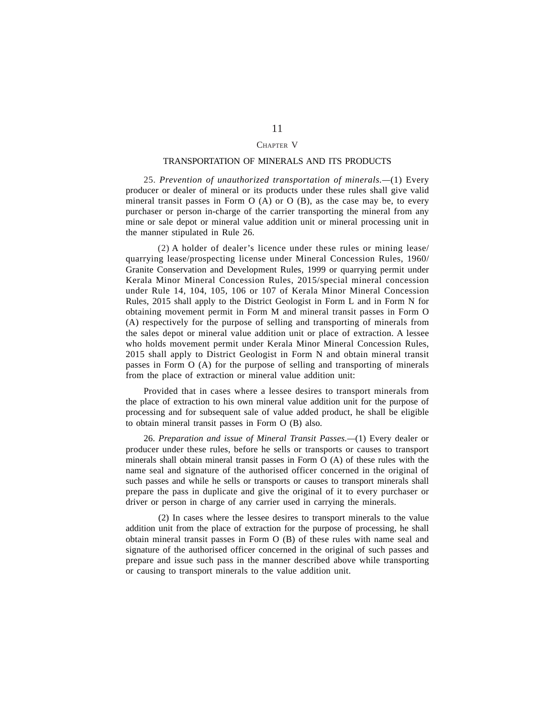## CHAPTER V

#### TRANSPORTATION OF MINERALS AND ITS PRODUCTS

25. *Prevention of unauthorized transportation of minerals.—*(1) Every producer or dealer of mineral or its products under these rules shall give valid mineral transit passes in Form  $O(A)$  or  $O(B)$ , as the case may be, to every purchaser or person in-charge of the carrier transporting the mineral from any mine or sale depot or mineral value addition unit or mineral processing unit in the manner stipulated in Rule 26.

(2) A holder of dealer's licence under these rules or mining lease/ quarrying lease/prospecting license under Mineral Concession Rules, 1960/ Granite Conservation and Development Rules, 1999 or quarrying permit under Kerala Minor Mineral Concession Rules, 2015/special mineral concession under Rule 14, 104, 105, 106 or 107 of Kerala Minor Mineral Concession Rules, 2015 shall apply to the District Geologist in Form L and in Form N for obtaining movement permit in Form M and mineral transit passes in Form O (A) respectively for the purpose of selling and transporting of minerals from the sales depot or mineral value addition unit or place of extraction. A lessee who holds movement permit under Kerala Minor Mineral Concession Rules, 2015 shall apply to District Geologist in Form N and obtain mineral transit passes in Form O (A) for the purpose of selling and transporting of minerals from the place of extraction or mineral value addition unit:

Provided that in cases where a lessee desires to transport minerals from the place of extraction to his own mineral value addition unit for the purpose of processing and for subsequent sale of value added product, he shall be eligible to obtain mineral transit passes in Form O (B) also.

26. *Preparation and issue of Mineral Transit Passes.—*(1) Every dealer or producer under these rules, before he sells or transports or causes to transport minerals shall obtain mineral transit passes in Form O (A) of these rules with the name seal and signature of the authorised officer concerned in the original of such passes and while he sells or transports or causes to transport minerals shall prepare the pass in duplicate and give the original of it to every purchaser or driver or person in charge of any carrier used in carrying the minerals.

(2) In cases where the lessee desires to transport minerals to the value addition unit from the place of extraction for the purpose of processing, he shall obtain mineral transit passes in Form O (B) of these rules with name seal and signature of the authorised officer concerned in the original of such passes and prepare and issue such pass in the manner described above while transporting or causing to transport minerals to the value addition unit.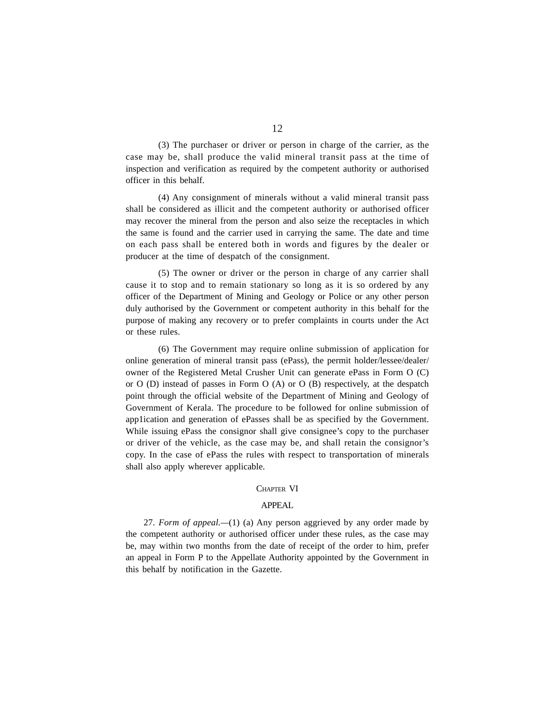(3) The purchaser or driver or person in charge of the carrier, as the case may be, shall produce the valid mineral transit pass at the time of inspection and verification as required by the competent authority or authorised officer in this behalf.

(4) Any consignment of minerals without a valid mineral transit pass shall be considered as illicit and the competent authority or authorised officer may recover the mineral from the person and also seize the receptacles in which the same is found and the carrier used in carrying the same. The date and time on each pass shall be entered both in words and figures by the dealer or producer at the time of despatch of the consignment.

(5) The owner or driver or the person in charge of any carrier shall cause it to stop and to remain stationary so long as it is so ordered by any officer of the Department of Mining and Geology or Police or any other person duly authorised by the Government or competent authority in this behalf for the purpose of making any recovery or to prefer complaints in courts under the Act or these rules.

(6) The Government may require online submission of application for online generation of mineral transit pass (ePass), the permit holder/lessee/dealer/ owner of the Registered Metal Crusher Unit can generate ePass in Form O (C) or O (D) instead of passes in Form O (A) or O (B) respectively, at the despatch point through the official website of the Department of Mining and Geology of Government of Kerala. The procedure to be followed for online submission of app1ication and generation of ePasses shall be as specified by the Government. While issuing ePass the consignor shall give consignee's copy to the purchaser or driver of the vehicle, as the case may be, and shall retain the consignor's copy. In the case of ePass the rules with respect to transportation of minerals shall also apply wherever applicable.

#### CHAPTER VI

#### APPEAL

27. *Form of appeal.—*(1) (a) Any person aggrieved by any order made by the competent authority or authorised officer under these rules, as the case may be, may within two months from the date of receipt of the order to him, prefer an appeal in Form P to the Appellate Authority appointed by the Government in this behalf by notification in the Gazette.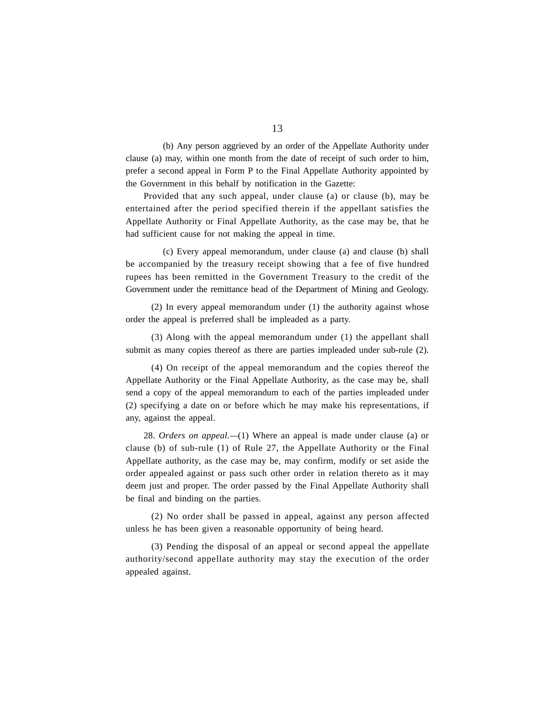(b) Any person aggrieved by an order of the Appellate Authority under clause (a) may, within one month from the date of receipt of such order to him, prefer a second appeal in Form P to the Final Appellate Authority appointed by the Government in this behalf by notification in the Gazette:

Provided that any such appeal, under clause (a) or clause (b), may be entertained after the period specified therein if the appellant satisfies the Appellate Authority or Final Appellate Authority, as the case may be, that he had sufficient cause for not making the appeal in time.

(c) Every appeal memorandum, under clause (a) and clause (b) shall be accompanied by the treasury receipt showing that a fee of five hundred rupees has been remitted in the Government Treasury to the credit of the Government under the remittance head of the Department of Mining and Geology.

(2) In every appeal memorandum under (1) the authority against whose order the appeal is preferred shall be impleaded as a party.

(3) Along with the appeal memorandum under (1) the appellant shall submit as many copies thereof as there are parties impleaded under sub-rule (2).

(4) On receipt of the appeal memorandum and the copies thereof the Appellate Authority or the Final Appellate Authority, as the case may be, shall send a copy of the appeal memorandum to each of the parties impleaded under (2) specifying a date on or before which he may make his representations, if any, against the appeal.

28. *Orders on appeal.—*(1) Where an appeal is made under clause (a) or clause (b) of sub-rule (1) of Rule 27, the Appellate Authority or the Final Appellate authority, as the case may be, may confirm, modify or set aside the order appealed against or pass such other order in relation thereto as it may deem just and proper. The order passed by the Final Appellate Authority shall be final and binding on the parties.

(2) No order shall be passed in appeal, against any person affected unless he has been given a reasonable opportunity of being heard.

(3) Pending the disposal of an appeal or second appeal the appellate authority/second appellate authority may stay the execution of the order appealed against.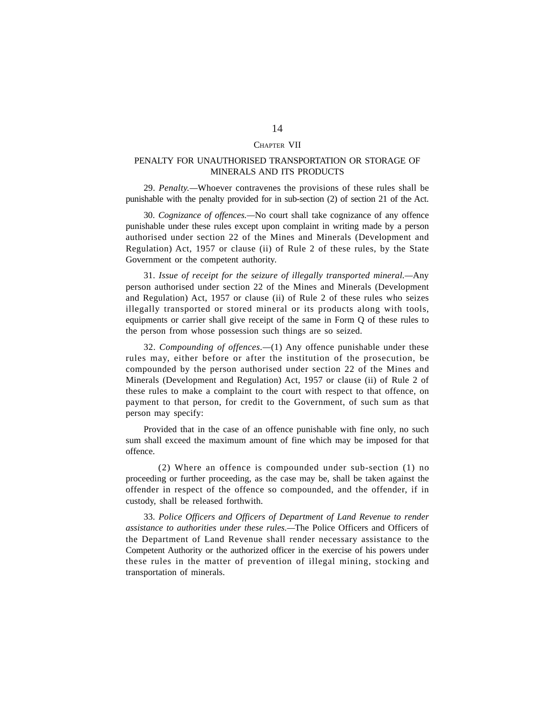#### CHAPTER VII

# PENALTY FOR UNAUTHORISED TRANSPORTATION OR STORAGE OF MINERALS AND ITS PRODUCTS

29. *Penalty.—*Whoever contravenes the provisions of these rules shall be punishable with the penalty provided for in sub-section (2) of section 21 of the Act.

30. *Cognizance of offences.—*No court shall take cognizance of any offence punishable under these rules except upon complaint in writing made by a person authorised under section 22 of the Mines and Minerals (Development and Regulation) Act, 1957 or clause (ii) of Rule 2 of these rules, by the State Government or the competent authority.

31. *Issue of receipt for the seizure of illegally transported mineral.—*Any person authorised under section 22 of the Mines and Minerals (Development and Regulation) Act, 1957 or clause (ii) of Rule 2 of these rules who seizes illegally transported or stored mineral or its products along with tools, equipments or carrier shall give receipt of the same in Form Q of these rules to the person from whose possession such things are so seized.

32. *Compounding of offences.—*(1) Any offence punishable under these rules may, either before or after the institution of the prosecution, be compounded by the person authorised under section 22 of the Mines and Minerals (Development and Regulation) Act, 1957 or clause (ii) of Rule 2 of these rules to make a complaint to the court with respect to that offence, on payment to that person, for credit to the Government, of such sum as that person may specify:

Provided that in the case of an offence punishable with fine only, no such sum shall exceed the maximum amount of fine which may be imposed for that offence.

(2) Where an offence is compounded under sub-section (1) no proceeding or further proceeding, as the case may be, shall be taken against the offender in respect of the offence so compounded, and the offender, if in custody, shall be released forthwith.

33. *Police Officers and Officers of Department of Land Revenue to render assistance to authorities under these rules.—*The Police Officers and Officers of the Department of Land Revenue shall render necessary assistance to the Competent Authority or the authorized officer in the exercise of his powers under these rules in the matter of prevention of illegal mining, stocking and transportation of minerals.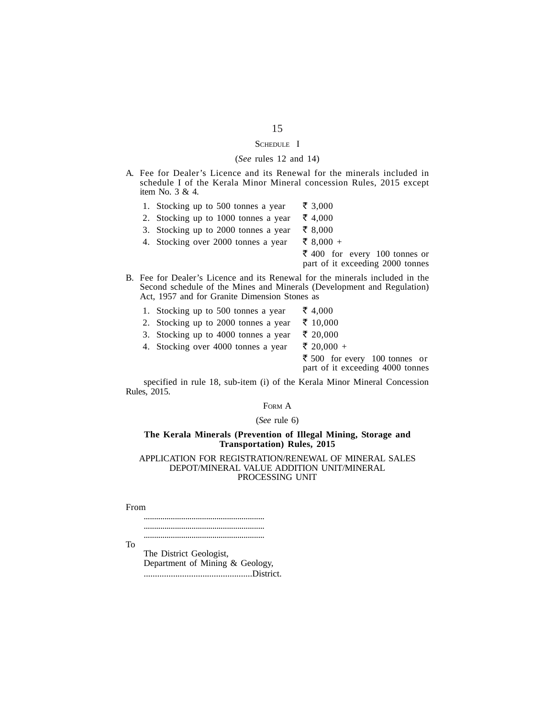# SCHEDULE I

#### (*See* rules 12 and 14)

- A. Fee for Dealer's Licence and its Renewal for the minerals included in schedule I of the Kerala Minor Mineral concession Rules, 2015 except item No. 3 & 4.
	- 1. Stocking up to 500 tonnes a year  $\bar{\bar{\xi}}$  3,000
	- 2. Stocking up to 1000 tonnes a year  $\bar{\tau}$  4,000
	- 3. Stocking up to 2000 tonnes a year  $\bar{\bar{\xi}}$  8,000
	- 4. Stocking over 2000 tonnes a year  $\bar{\bar{\xi}}$  8,000 +  $\bar{\mathfrak{c}}$  400 for every 100 tonnes or

part of it exceeding 2000 tonnes

- B. Fee for Dealer's Licence and its Renewal for the minerals included in the Second schedule of the Mines and Minerals (Development and Regulation) Act, 1957 and for Granite Dimension Stones as
	- 1. Stocking up to 500 tonnes a year  $\bar{\bar{\xi}}$  4,000
	- 2. Stocking up to 2000 tonnes a year  $\bar{\tau}$  10,000
	- 3. Stocking up to 4000 tonnes a year  $\bar{\tau}$  20,000
	- 4. Stocking over 4000 tonnes a year  $\bar{\xi}$  20,000 +

 $\bar{\bar{\xi}}$  500 for every 100 tonnes or part of it exceeding 4000 tonnes

specified in rule 18, sub-item (i) of the Kerala Minor Mineral Concession Rules, 2015.

#### FORM A

#### (*See* rule 6)

#### **The Kerala Minerals (Prevention of Illegal Mining, Storage and Transportation) Rules, 2015**

#### APPLICATION FOR REGISTRATION/RENEWAL OF MINERAL SALES DEPOT/MINERAL VALUE ADDITION UNIT/MINERAL PROCESSING UNIT

From

.......................................................... .......................................................... ..........................................................

To

The District Geologist, Department of Mining & Geology, ................................................District.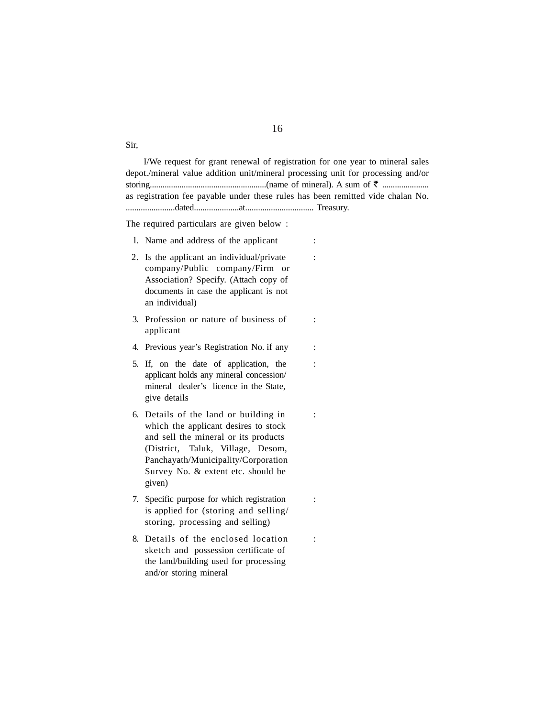I/We request for grant renewal of registration for one year to mineral sales depot./mineral value addition unit/mineral processing unit for processing and/or storing.......................................................(name of mineral). A sum of ` ...................... as registration fee payable under these rules has been remitted vide chalan No. .......................dated.....................at................................ Treasury.

The required particulars are given below :

- l. Name and address of the applicant :
- 2. Is the applicant an individual/private : company/Public company/Firm or Association? Specify. (Attach copy of documents in case the applicant is not an individual)
- 3. Profession or nature of business of : applicant
- 4. Previous year's Registration No. if any :
- 5. If, on the date of application, the : applicant holds any mineral concession/ mineral dealer's licence in the State, give details
- 6. Details of the land or building in : which the applicant desires to stock and sell the mineral or its products (District, Taluk, Village, Desom, Panchayath/Municipality/Corporation Survey No. & extent etc. should be given)
- 7. Specific purpose for which registration : is applied for (storing and selling/ storing, processing and selling)
- 8. Details of the enclosed location : sketch and possession certificate of the land/building used for processing and/or storing mineral

Sir,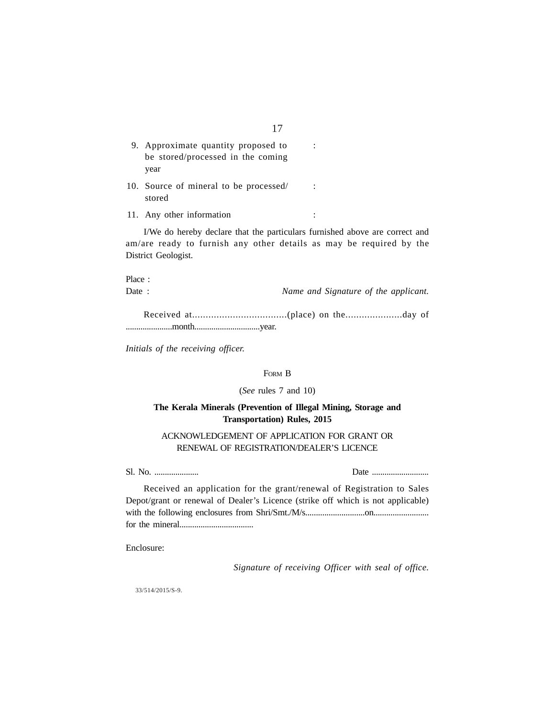| 9. Approximate quantity proposed to<br>be stored/processed in the coming |  |
|--------------------------------------------------------------------------|--|
| year                                                                     |  |
| 10. Source of mineral to be processed/<br>stored                         |  |
| 11. Any other information                                                |  |
| LWe do hereby declare that the narticulars furnist                       |  |

I/We do hereby declare that the particulars furnished above are correct and am/are ready to furnish any other details as may be required by the District Geologist.

Place :

Date : *Name and Signature of the applicant.*

Received at...................................(place) on the.....................day of ......................month...............................year.

*Initials of the receiving officer.*

# FORM B

#### (*See* rules 7 and 10)

# **The Kerala Minerals (Prevention of Illegal Mining, Storage and Transportation) Rules, 2015**

# ACKNOWLEDGEMENT OF APPLICATION FOR GRANT OR RENEWAL OF REGISTRATION/DEALER'S LICENCE

Sl. No. ..................... Date ...........................

| Received an application for the grant/renewal of Registration to Sales          |
|---------------------------------------------------------------------------------|
| Depot/grant or renewal of Dealer's Licence (strike off which is not applicable) |
|                                                                                 |
|                                                                                 |

Enclosure:

*Signature of receiving Officer with seal of office.*

33/514/2015/S-9.

17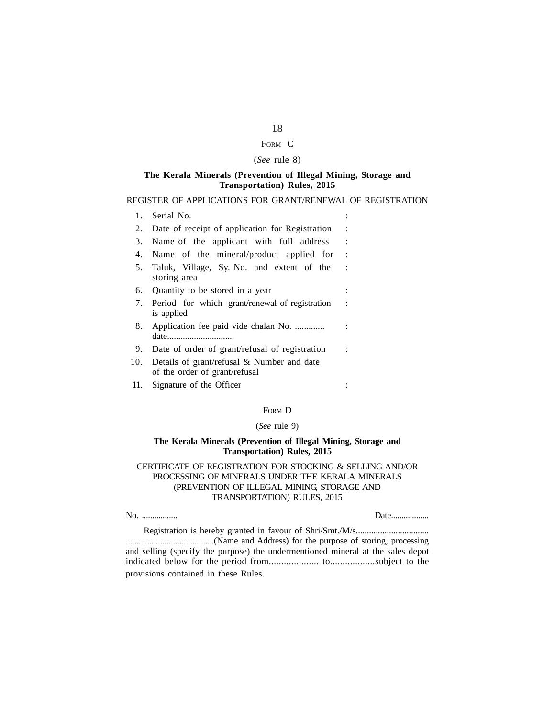# FORM C

# (*See* rule 8)

#### **The Kerala Minerals (Prevention of Illegal Mining, Storage and Transportation) Rules, 2015**

#### REGISTER OF APPLICATIONS FOR GRANT/RENEWAL OF REGISTRATION

| 1.  | Serial No.                                                                     |                |
|-----|--------------------------------------------------------------------------------|----------------|
| 2.  | Date of receipt of application for Registration                                |                |
| 3.  | Name of the applicant with full address                                        | $\ddot{\cdot}$ |
| 4.  | Name of the mineral/product applied for                                        | $\ddot{\cdot}$ |
| 5.  | Taluk, Village, Sy. No. and extent of the<br>storing area                      | $\mathcal{L}$  |
| 6.  | Quantity to be stored in a year                                                |                |
| 7.  | Period for which grant/renewal of registration<br>is applied                   | ÷              |
| 8.  | Application fee paid vide chalan No.<br>date                                   |                |
| 9.  | Date of order of grant/refusal of registration                                 |                |
| 10. | Details of grant/refusal $\&$ Number and date<br>of the order of grant/refusal |                |
| 11. | Signature of the Officer                                                       |                |

#### FORM D

#### (*See* rule 9)

#### **The Kerala Minerals (Prevention of Illegal Mining, Storage and Transportation) Rules, 2015**

## CERTIFICATE OF REGISTRATION FOR STOCKING & SELLING AND/OR PROCESSING OF MINERALS UNDER THE KERALA MINERALS (PREVENTION OF ILLEGAL MINING, STORAGE AND TRANSPORTATION) RULES, 2015

No. ................. Date..................

Registration is hereby granted in favour of Shri/Smt./M/s................................. .........................................(Name and Address) for the purpose of storing, processing and selling (specify the purpose) the undermentioned mineral at the sales depot indicated below for the period from.................... to..................subject to the provisions contained in these Rules.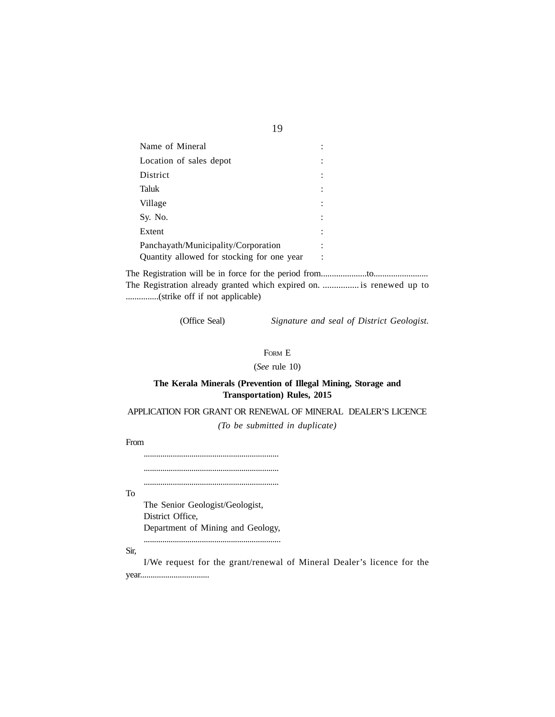| Name of Mineral                            |                           |
|--------------------------------------------|---------------------------|
| Location of sales depot                    |                           |
| District                                   | ٠<br>$\ddot{\phantom{0}}$ |
| Taluk                                      |                           |
| Village                                    | ٠<br>$\ddot{\phantom{a}}$ |
| Sy. No.                                    | ÷                         |
| Extent                                     | ٠                         |
| Panchayath/Municipality/Corporation        | ٠                         |
| Quantity allowed for stocking for one year | ÷                         |

The Registration will be in force for the period from.....................to......................... The Registration already granted which expired on. ................ is renewed up to ...............(strike off if not applicable)

(Office Seal) *Signature and seal of District Geologist.*

#### FORM E

(*See* rule 10)

# **The Kerala Minerals (Prevention of Illegal Mining, Storage and Transportation) Rules, 2015**

# APPLICATION FOR GRANT OR RENEWAL OF MINERAL DEALER'S LICENCE *(To be submitted in duplicate)*

From

................................................................. .................................................................

.................................................................

To

The Senior Geologist/Geologist, District Office, Department of Mining and Geology,

..................................................................

Sir,

I/We request for the grant/renewal of Mineral Dealer's licence for the year.................................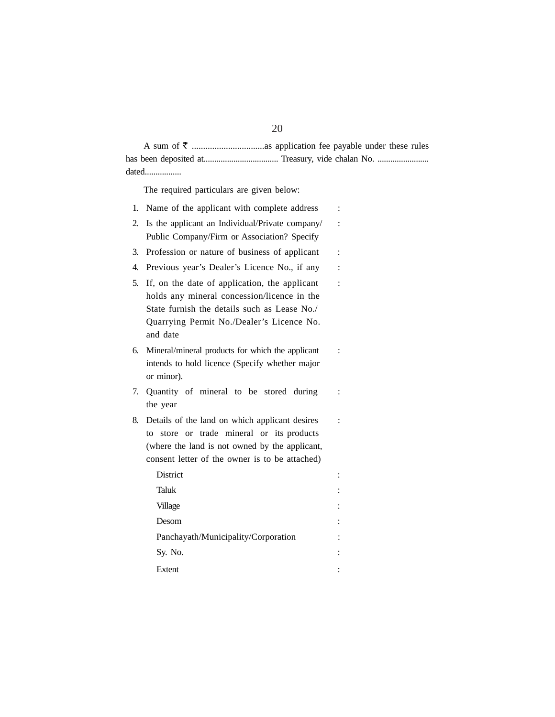# A sum of ` ................................as application fee payable under these rules has been deposited at................................... Treasury, vide chalan No. ........................ dated.................

The required particulars are given below:

| 1. | Name of the applicant with complete address                                                                                                                                                           | $\ddot{\cdot}$ |
|----|-------------------------------------------------------------------------------------------------------------------------------------------------------------------------------------------------------|----------------|
| 2. | Is the applicant an Individual/Private company/                                                                                                                                                       |                |
|    | Public Company/Firm or Association? Specify                                                                                                                                                           |                |
| 3. | Profession or nature of business of applicant                                                                                                                                                         | $\ddot{\cdot}$ |
| 4. | Previous year's Dealer's Licence No., if any                                                                                                                                                          |                |
| 5. | If, on the date of application, the applicant<br>holds any mineral concession/licence in the<br>State furnish the details such as Lease No./<br>Quarrying Permit No./Dealer's Licence No.<br>and date | $\ddot{\cdot}$ |
| 6. | Mineral/mineral products for which the applicant<br>intends to hold licence (Specify whether major<br>or minor).                                                                                      |                |
| 7. | Quantity of mineral to be stored during<br>the year                                                                                                                                                   |                |
| 8. | Details of the land on which applicant desires<br>store or trade mineral or its products<br>to<br>(where the land is not owned by the applicant,<br>consent letter of the owner is to be attached)    |                |
|    | District                                                                                                                                                                                              | :              |
|    | Taluk                                                                                                                                                                                                 |                |
|    | Village                                                                                                                                                                                               |                |
|    | Desom                                                                                                                                                                                                 |                |
|    | Panchayath/Municipality/Corporation                                                                                                                                                                   |                |
|    | Sy. No.                                                                                                                                                                                               |                |
|    | Extent                                                                                                                                                                                                |                |

# 20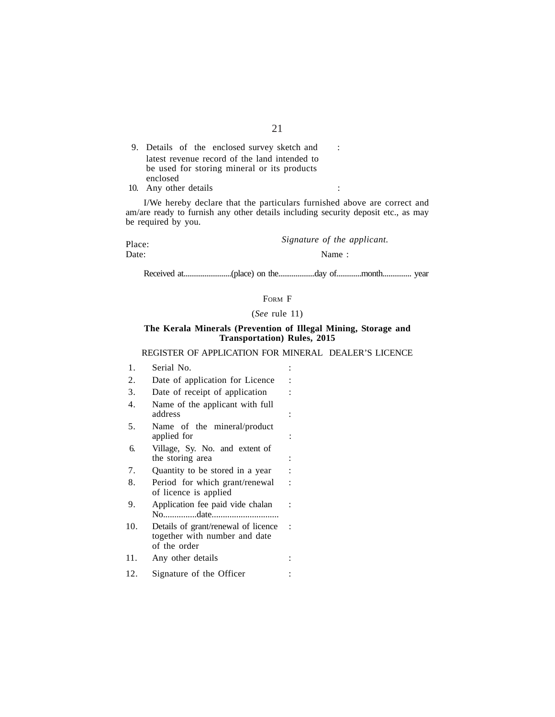9. Details of the enclosed survey sketch and : latest revenue record of the land intended to be used for storing mineral or its products enclosed 10. Any other details :

I/We hereby declare that the particulars furnished above are correct and am/are ready to furnish any other details including security deposit etc., as may be required by you.

Place: *Signature of the applicant*.<br>Date: **Name**:

Name:

Received at.........................(place) on the...................day of.............month............... year

# FORM F

(*See* rule 11)

#### **The Kerala Minerals (Prevention of Illegal Mining, Storage and Transportation) Rules, 2015**

#### REGISTER OF APPLICATION FOR MINERAL DEALER'S LICENCE

- 1. Serial No. :
- 2. Date of application for Licence :
- 3. Date of receipt of application :
- 4. Name of the applicant with full address :
- 5. Name of the mineral/product applied for :
- 6. Village, Sy. No. and extent of the storing area :
- 7. Quantity to be stored in a year :
- 8. Period for which grant/renewal : of licence is applied
- 9. Application fee paid vide chalan : No...............date..............................
- 10. Details of grant/renewal of licence : together with number and date of the order
- 11. Any other details :
- 12. Signature of the Officer :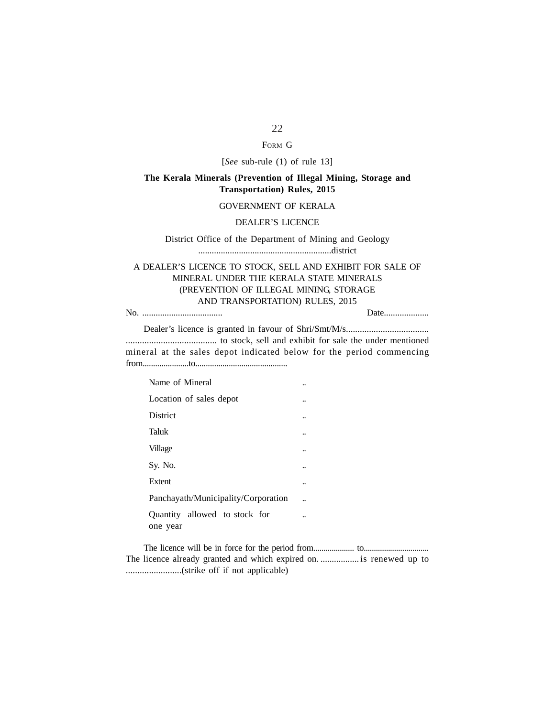# FORM G

# [*See* sub-rule (1) of rule 13]

# **The Kerala Minerals (Prevention of Illegal Mining, Storage and Transportation) Rules, 2015**

#### GOVERNMENT OF KERALA

#### DEALER'S LICENCE

# District Office of the Department of Mining and Geology ...........................................................district

# A DEALER'S LICENCE TO STOCK, SELL AND EXHIBIT FOR SALE OF MINERAL UNDER THE KERALA STATE MINERALS (PREVENTION OF ILLEGAL MINING, STORAGE AND TRANSPORTATION) RULES, 2015

No. .................................... Date....................

Dealer's licence is granted in favour of Shri/Smt/M/s.................................... ....................................... to stock, sell and exhibit for sale the under mentioned mineral at the sales depot indicated below for the period commencing from......................to............................................

| Name of Mineral                           |  |
|-------------------------------------------|--|
| Location of sales depot                   |  |
| District                                  |  |
| Taluk                                     |  |
| Village                                   |  |
| Sy. No.                                   |  |
| Extent                                    |  |
| Panchayath/Municipality/Corporation       |  |
| Quantity allowed to stock for<br>one year |  |

The licence will be in force for the period from.................... to................................ The licence already granted and which expired on. ................. is renewed up to ........................(strike off if not applicable)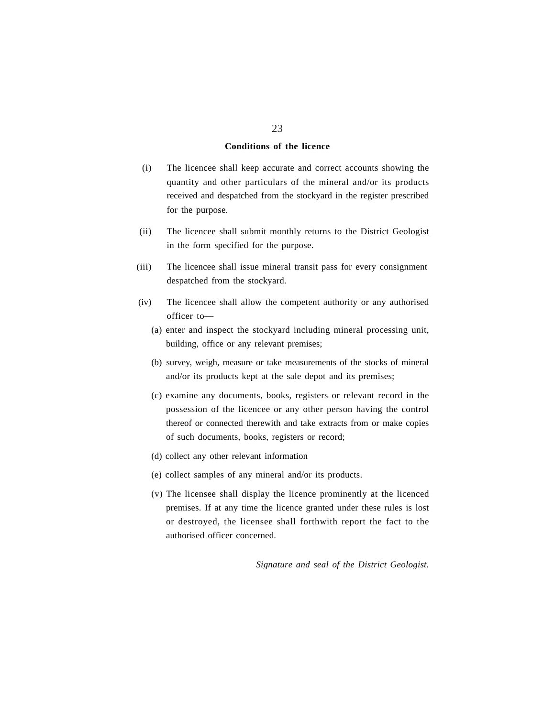#### **Conditions of the licence**

- (i) The licencee shall keep accurate and correct accounts showing the quantity and other particulars of the mineral and/or its products received and despatched from the stockyard in the register prescribed for the purpose.
- (ii) The licencee shall submit monthly returns to the District Geologist in the form specified for the purpose.
- (iii) The licencee shall issue mineral transit pass for every consignment despatched from the stockyard.
- (iv) The licencee shall allow the competent authority or any authorised officer to—
	- (a) enter and inspect the stockyard including mineral processing unit, building, office or any relevant premises;
	- (b) survey, weigh, measure or take measurements of the stocks of mineral and/or its products kept at the sale depot and its premises;
	- (c) examine any documents, books, registers or relevant record in the possession of the licencee or any other person having the control thereof or connected therewith and take extracts from or make copies of such documents, books, registers or record;
	- (d) collect any other relevant information
	- (e) collect samples of any mineral and/or its products.
	- (v) The licensee shall display the licence prominently at the licenced premises. If at any time the licence granted under these rules is lost or destroyed, the licensee shall forthwith report the fact to the authorised officer concerned.

*Signature and seal of the District Geologist.*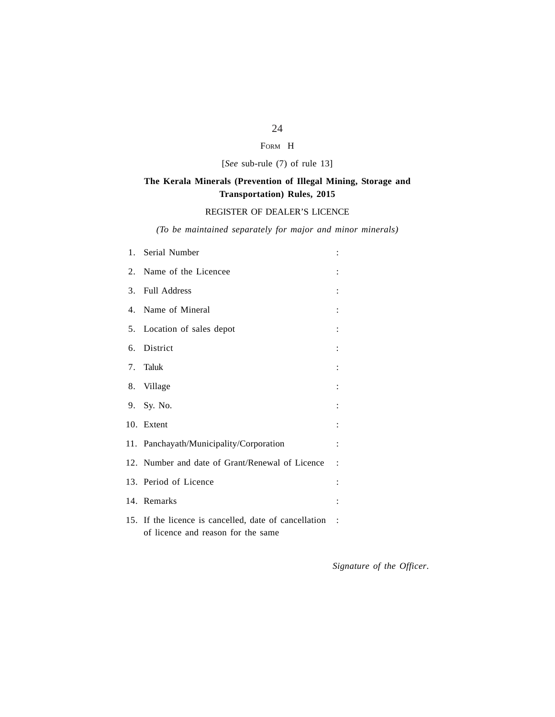# FORM H

[*See* sub-rule (7) of rule 13]

# **The Kerala Minerals (Prevention of Illegal Mining, Storage and Transportation) Rules, 2015**

# REGISTER OF DEALER'S LICENCE

*(To be maintained separately for major and minor minerals)*

| 1. Serial Number                                                                            |                        |
|---------------------------------------------------------------------------------------------|------------------------|
| 2. Name of the Licencee                                                                     |                        |
| 3. Full Address                                                                             |                        |
| 4. Name of Mineral                                                                          |                        |
| 5. Location of sales depot                                                                  |                        |
| 6. District                                                                                 |                        |
| 7. Taluk                                                                                    |                        |
| 8. Village                                                                                  |                        |
| 9. Sy. No.                                                                                  |                        |
| 10. Extent                                                                                  |                        |
| 11. Panchayath/Municipality/Corporation                                                     |                        |
| 12. Number and date of Grant/Renewal of Licence                                             |                        |
| 13. Period of Licence                                                                       |                        |
| 14. Remarks                                                                                 |                        |
| 15. If the licence is cancelled, date of cancellation<br>of licence and reason for the same | $\ddot{\phantom{0}}$ : |

*Signature of the Officer*.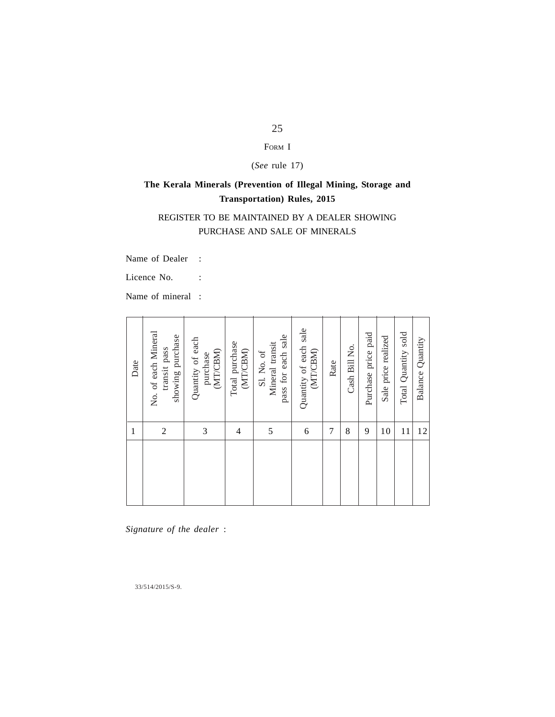# FORM I

(*See* rule 17)

# **The Kerala Minerals (Prevention of Illegal Mining, Storage and Transportation) Rules, 2015**

# REGISTER TO BE MAINTAINED BY A DEALER SHOWING PURCHASE AND SALE OF MINERALS

Name of Dealer :

Licence No. :

Name of mineral :

| Date         | No. of each Mineral<br>showing purchase<br>transit pass | Quantity of each<br>(MT/CBM)<br>purchase | Total purchase<br>(MT/CBM) | pass for each sale<br>Mineral transit<br>Sl. No. of | Quantity of each sale<br>(MT/CBM) | Rate           | Cash Bill No. | Purchase price paid | Sale price realized | Total Quantity sold | Balance Quantity |
|--------------|---------------------------------------------------------|------------------------------------------|----------------------------|-----------------------------------------------------|-----------------------------------|----------------|---------------|---------------------|---------------------|---------------------|------------------|
| $\mathbf{1}$ | $\overline{c}$                                          | 3                                        | 4                          | 5                                                   | 6                                 | $\overline{7}$ | 8             | 9                   | 10                  | 11                  | 12               |
|              |                                                         |                                          |                            |                                                     |                                   |                |               |                     |                     |                     |                  |
|              | Signature of the dealer :                               |                                          |                            |                                                     |                                   |                |               |                     |                     |                     |                  |

 $33/514/2015/S-9.$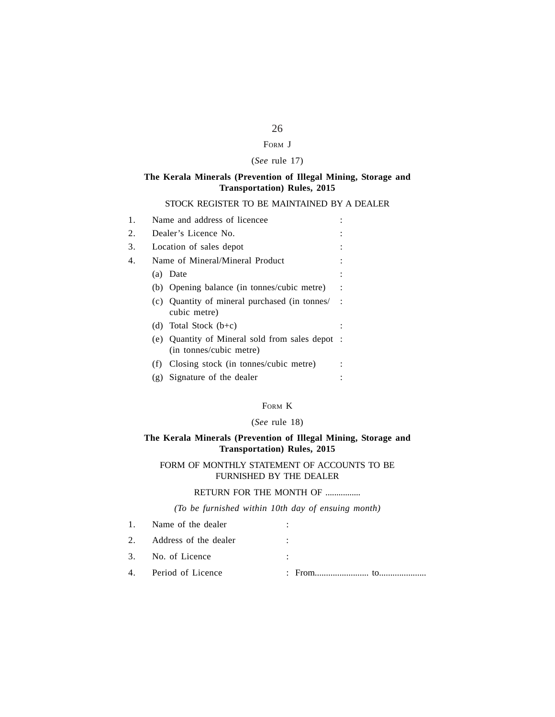# FORM J

# (*See* rule 17)

# **The Kerala Minerals (Prevention of Illegal Mining, Storage and Transportation) Rules, 2015**

# STOCK REGISTER TO BE MAINTAINED BY A DEALER

# FORM K

# (*See* rule 18)

# **The Kerala Minerals (Prevention of Illegal Mining, Storage and Transportation) Rules, 2015**

# FORM OF MONTHLY STATEMENT OF ACCOUNTS TO BE FURNISHED BY THE DEALER

# RETURN FOR THE MONTH OF .................

# *(To be furnished within 10th day of ensuing month)*

| 1. Name of the dealer    |  |
|--------------------------|--|
| 2. Address of the dealer |  |
| 3. No. of Licence        |  |
| 4. Period of Licence     |  |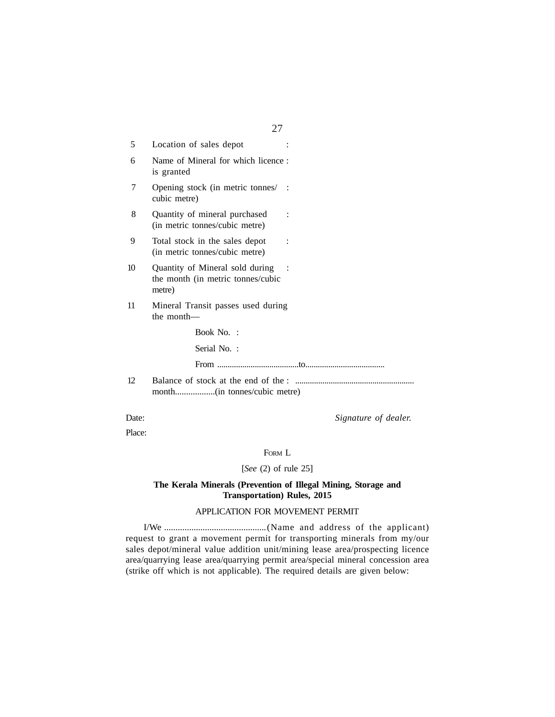|    | 27                                                                             |
|----|--------------------------------------------------------------------------------|
| 5  | Location of sales depot                                                        |
| 6  | Name of Mineral for which licence:<br>is granted                               |
| 7  | Opening stock (in metric tonnes/:<br>cubic metre)                              |
| 8  | Quantity of mineral purchased<br>(in metric tonnes/cubic metre)                |
| 9  | Total stock in the sales depot<br>(in metric tonnes/cubic metre)               |
| 10 | Quantity of Mineral sold during<br>the month (in metric tonnes/cubic<br>metre) |
| 11 | Mineral Transit passes used during<br>the month—                               |
|    | Book No. :                                                                     |
|    | Serial No.:                                                                    |
|    |                                                                                |
| 12 |                                                                                |

Date: *Signature of dealer.* 

Place:

FORM L

# [*See* (2) of rule 25]

# **The Kerala Minerals (Prevention of Illegal Mining, Storage and Transportation) Rules, 2015**

#### APPLICATION FOR MOVEMENT PERMIT

I/We .............................................(Name and address of the applicant) request to grant a movement permit for transporting minerals from my/our sales depot/mineral value addition unit/mining lease area/prospecting licence area/quarrying lease area/quarrying permit area/special mineral concession area (strike off which is not applicable). The required details are given below: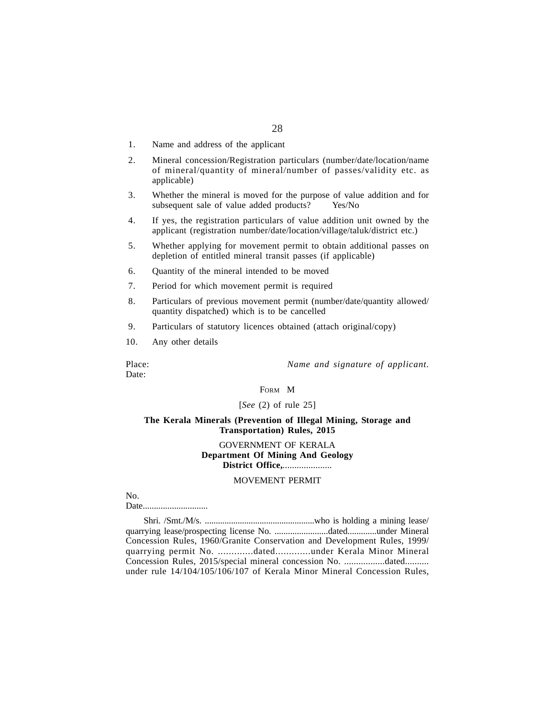- 1. Name and address of the applicant
- 2. Mineral concession/Registration particulars (number/date/location/name of mineral/quantity of mineral/number of passes/validity etc. as applicable)
- 3. Whether the mineral is moved for the purpose of value addition and for subsequent sale of value added products? Yes/No
- 4. If yes, the registration particulars of value addition unit owned by the applicant (registration number/date/location/village/taluk/district etc.)
- 5. Whether applying for movement permit to obtain additional passes on depletion of entitled mineral transit passes (if applicable)
- 6. Quantity of the mineral intended to be moved
- 7. Period for which movement permit is required
- 8. Particulars of previous movement permit (number/date/quantity allowed/ quantity dispatched) which is to be cancelled
- 9. Particulars of statutory licences obtained (attach original/copy)
- 10. Any other details

Place: *Name and signature of applicant.*

Date:

FORM M

[*See* (2) of rule 25]

#### **The Kerala Minerals (Prevention of Illegal Mining, Storage and Transportation) Rules, 2015**

GOVERNMENT OF KERALA **Department Of Mining And Geology District Office,**.....................

#### MOVEMENT PERMIT

No.

Date.............................

Shri. /Smt./M/s. ..................................................who is holding a mining lease/ quarrying lease/prospecting license No. ........................dated.............under Mineral Concession Rules, 1960/Granite Conservation and Development Rules, 1999/ quarrying permit No. .............dated.............under Kerala Minor Mineral Concession Rules, 2015/special mineral concession No. .................dated.......... under rule 14/104/105/106/107 of Kerala Minor Mineral Concession Rules,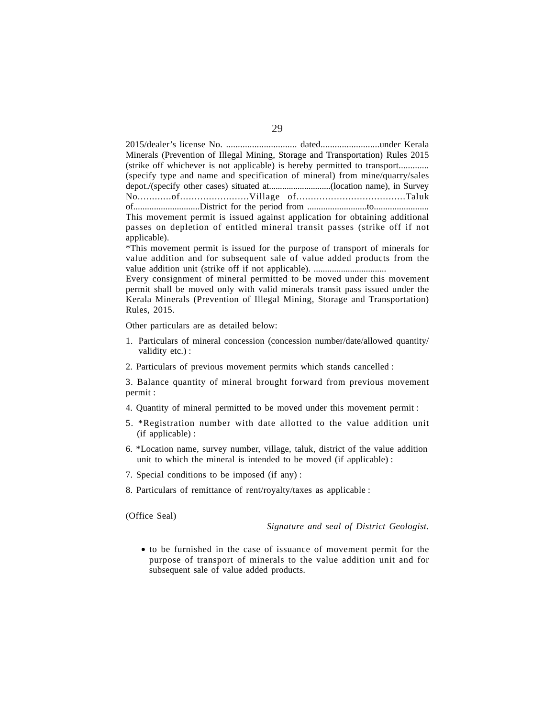2015/dealer's license No. .............................. dated.........................under Kerala Minerals (Prevention of Illegal Mining, Storage and Transportation) Rules 2015 (strike off whichever is not applicable) is hereby permitted to transport............. (specify type and name and specification of mineral) from mine/quarry/sales depot./(specify other cases) situated at............................(location name), in Survey No............of........................Village of......................................Taluk of.............................District for the period from ..........................to........................ This movement permit is issued against application for obtaining additional passes on depletion of entitled mineral transit passes (strike off if not applicable).

\*This movement permit is issued for the purpose of transport of minerals for value addition and for subsequent sale of value added products from the value addition unit (strike off if not applicable). ................................

Every consignment of mineral permitted to be moved under this movement permit shall be moved only with valid minerals transit pass issued under the Kerala Minerals (Prevention of Illegal Mining, Storage and Transportation) Rules, 2015.

Other particulars are as detailed below:

- 1. Particulars of mineral concession (concession number/date/allowed quantity/ validity etc.) :
- 2. Particulars of previous movement permits which stands cancelled :

3. Balance quantity of mineral brought forward from previous movement permit :

- 4. Quantity of mineral permitted to be moved under this movement permit :
- 5. \*Registration number with date allotted to the value addition unit (if applicable) :
- 6. \*Location name, survey number, village, taluk, district of the value addition unit to which the mineral is intended to be moved (if applicable) :
- 7. Special conditions to be imposed (if any) :
- 8. Particulars of remittance of rent/royalty/taxes as applicable :

(Office Seal)

*Signature and seal of District Geologist.*

• to be furnished in the case of issuance of movement permit for the purpose of transport of minerals to the value addition unit and for subsequent sale of value added products.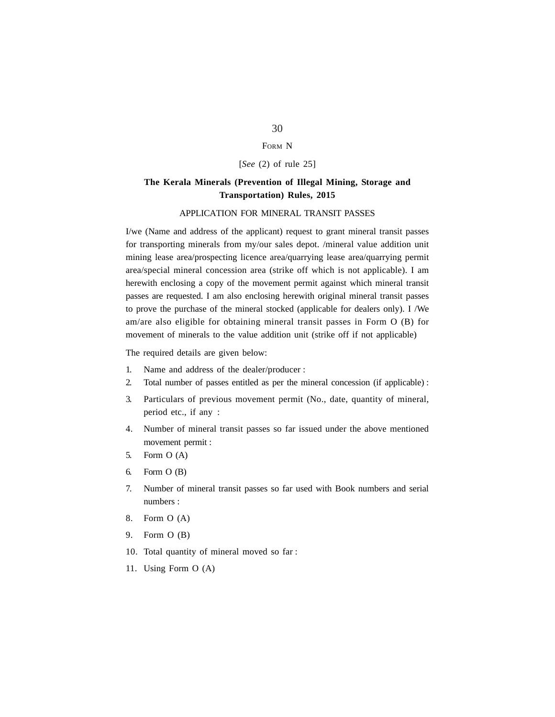#### FORM N

[*See* (2) of rule 25]

# **The Kerala Minerals (Prevention of Illegal Mining, Storage and Transportation) Rules, 2015**

#### APPLICATION FOR MINERAL TRANSIT PASSES

I/we (Name and address of the applicant) request to grant mineral transit passes for transporting minerals from my/our sales depot. /mineral value addition unit mining lease area/prospecting licence area/quarrying lease area/quarrying permit area/special mineral concession area (strike off which is not applicable). I am herewith enclosing a copy of the movement permit against which mineral transit passes are requested. I am also enclosing herewith original mineral transit passes to prove the purchase of the mineral stocked (applicable for dealers only). I /We am/are also eligible for obtaining mineral transit passes in Form O (B) for movement of minerals to the value addition unit (strike off if not applicable)

The required details are given below:

- 1. Name and address of the dealer/producer :
- 2. Total number of passes entitled as per the mineral concession (if applicable) :
- 3. Particulars of previous movement permit (No., date, quantity of mineral, period etc., if any :
- 4. Number of mineral transit passes so far issued under the above mentioned movement permit :
- 5. Form O (A)
- 6. Form O (B)
- 7. Number of mineral transit passes so far used with Book numbers and serial numbers :
- 8. Form O (A)
- 9. Form O (B)
- 10. Total quantity of mineral moved so far :
- 11. Using Form O (A)

# 30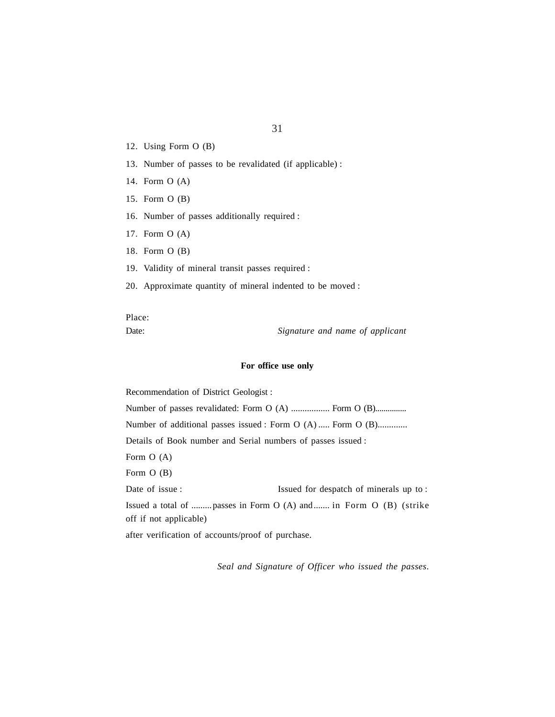- 12. Using Form O (B)
- 13. Number of passes to be revalidated (if applicable) :
- 14. Form O (A)
- 15. Form O (B)
- 16. Number of passes additionally required :
- 17. Form O (A)
- 18. Form O (B)
- 19. Validity of mineral transit passes required :
- 20. Approximate quantity of mineral indented to be moved :

Place:

Date: *Signature and name of applicant*

#### **For office use only**

Recommendation of District Geologist : Number of passes revalidated: Form O (A) ................. Form O (B)................ Number of additional passes issued : Form O (A) ..... Form O (B)............. Details of Book number and Serial numbers of passes issued : Form O (A) Form O (B) Date of issue : Issued for despatch of minerals up to : Issued a total of .........passes in Form O (A) and....... in Form O (B) (strike off if not applicable) after verification of accounts/proof of purchase.

*Seal and Signature of Officer who issued the passes*.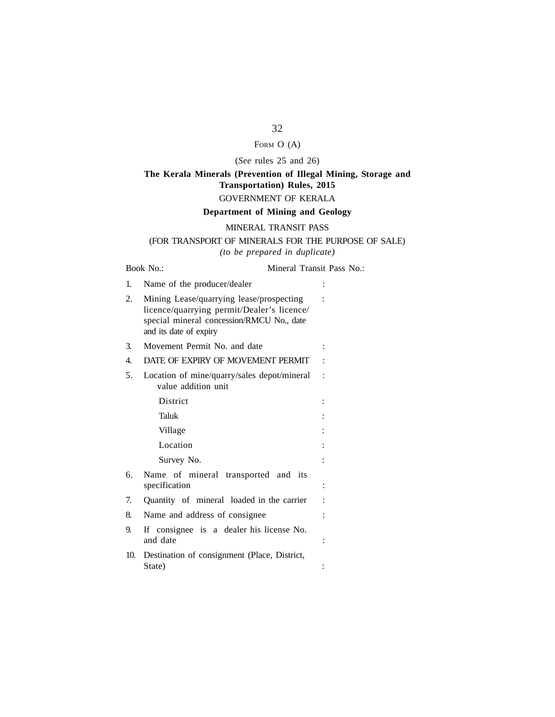# FORM O (A)

# (*See* rules 25 and 26)

# **The Kerala Minerals (Prevention of Illegal Mining, Storage and Transportation) Rules, 2015** GOVERNMENT OF KERALA

#### **Department of Mining and Geology**

#### MINERAL TRANSIT PASS

# (FOR TRANSPORT OF MINERALS FOR THE PURPOSE OF SALE) *(to be prepared in duplicate)*

# Book No.: Mineral Transit Pass No.: 1. Name of the producer/dealer 2. Mining Lease/quarrying lease/prospecting : licence/quarrying permit/Dealer's licence/ special mineral concession/RMCU No., date and its date of expiry 3. Movement Permit No. and date : 4. DATE OF EXPIRY OF MOVEMENT PERMIT : 5. Location of mine/quarry/sales depot/mineral : value addition unit District : Taluk : Village : the set of the set of the set of the set of the set of the set of the set of the set of the set of the set of the set of the set of the set of the set of the set of the set of the set of the set of the set of the Location : Survey No.  $\qquad \qquad :$ 6. Name of mineral transported and its specification : 7. Quantity of mineral loaded in the carrier : 8. Name and address of consignee : 9. If consignee is a dealer his license No. and date  $\qquad \qquad$ : 10. Destination of consignment (Place, District, State) :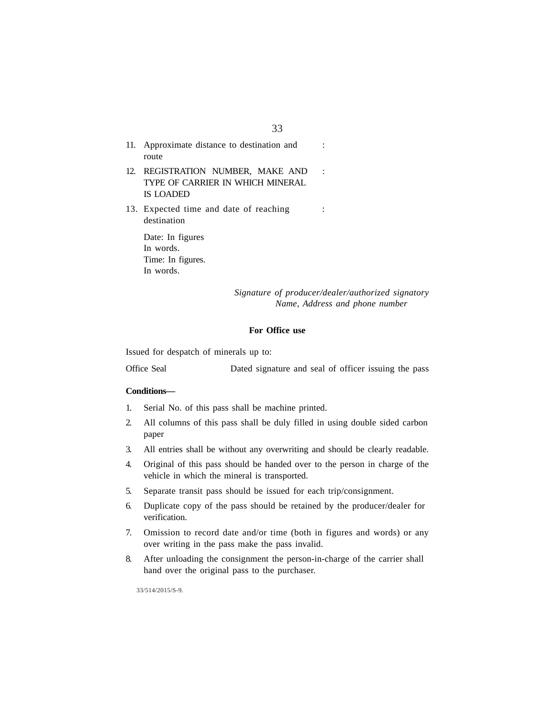| 11. Approximate distance to destination and<br>route                               |                      |
|------------------------------------------------------------------------------------|----------------------|
| 12. REGISTRATION NUMBER, MAKE AND<br>TYPE OF CARRIER IN WHICH MINERAL<br>IS LOADED | $\ddot{\phantom{0}}$ |
| 13. Expected time and date of reaching<br>destination                              |                      |
| Date: In figures<br>In words.<br>Time: In figures.<br>In words.                    |                      |

*Signature of producer/dealer/authorized signatory Name, Address and phone number*

#### **For Office use**

Issued for despatch of minerals up to:

Office Seal Dated signature and seal of officer issuing the pass

#### **Conditions—**

- 1. Serial No. of this pass shall be machine printed.
- 2. All columns of this pass shall be duly filled in using double sided carbon paper
- 3. All entries shall be without any overwriting and should be clearly readable.
- 4. Original of this pass should be handed over to the person in charge of the vehicle in which the mineral is transported.
- 5. Separate transit pass should be issued for each trip/consignment.
- 6. Duplicate copy of the pass should be retained by the producer/dealer for verification.
- 7. Omission to record date and/or time (both in figures and words) or any over writing in the pass make the pass invalid.
- 8. After unloading the consignment the person-in-charge of the carrier shall hand over the original pass to the purchaser.

33/514/2015/S-9.

### 33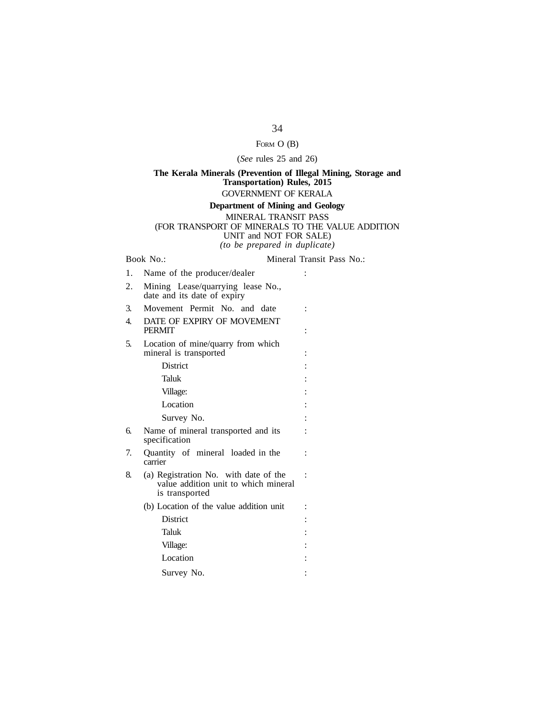# FORM O (B)

#### (*See* rules 25 and 26)

# **The Kerala Minerals (Prevention of Illegal Mining, Storage and Transportation) Rules, 2015** GOVERNMENT OF KERALA

#### **Department of Mining and Geology** MINERAL TRANSIT PASS (FOR TRANSPORT OF MINERALS TO THE VALUE ADDITION UNIT and NOT FOR SALE) *(to be prepared in duplicate)*

Book No.: Mineral Transit Pass No.:

1. Name of the producer/dealer : 2. Mining Lease/quarrying lease No., date and its date of expiry 3. Movement Permit No. and date : 4. DATE OF EXPIRY OF MOVEMENT PERMIT is a set of the set of the set of the set of the set of the set of the set of the set of the set of the set of the set of the set of the set of the set of the set of the set of the set of the set of the set of the s 5. Location of mine/quarry from which mineral is transported : District : the state of the state of the state of the state of the state of the state of the state of the state of the state of the state of the state of the state of the state of the state of the state of the state of the Taluk : Village:  $\qquad \qquad$  : Location : the set of the set of the set of the set of the set of the set of the set of the set of the set of the set of the set of the set of the set of the set of the set of the set of the set of the set of the set of th Survey No.  $\qquad \qquad :$ 6. Name of mineral transported and its : specification 7. Quantity of mineral loaded in the : carrier 8. (a) Registration No. with date of the : value addition unit to which mineral is transported  $(b)$  Location of the value addition unit : District : Taluk : Village:  $\qquad \qquad$  : Location : the set of the set of the set of the set of the set of the set of the set of the set of the set of the set of the set of the set of the set of the set of the set of the set of the set of the set of the set of th Survey No. :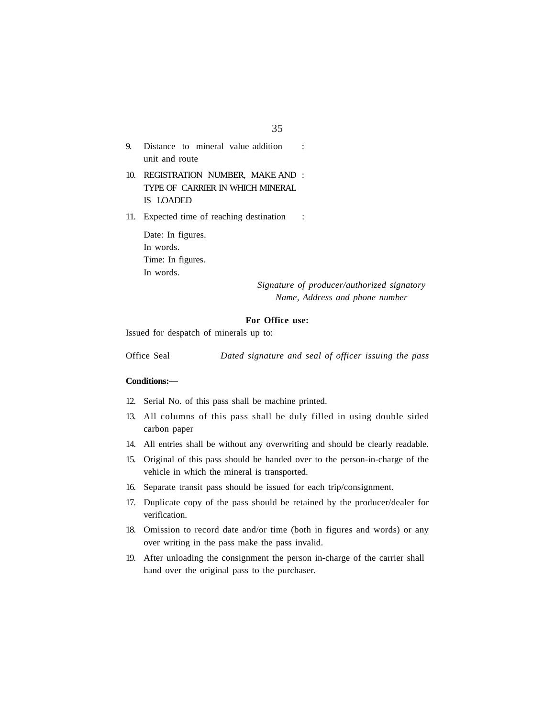- 9. Distance to mineral value addition : unit and route
- 10. REGISTRATION NUMBER, MAKE AND : TYPE OF CARRIER IN WHICH MINERAL IS LOADED

11. Expected time of reaching destination :

Date: In figures. In words. Time: In figures. In words.

> *Signature of producer/authorized signatory Name, Address and phone number*

#### **For Office use:**

Issued for despatch of minerals up to:

Office Seal *Dated signature and seal of officer issuing the pass*

#### **Conditions:**—

- 12. Serial No. of this pass shall be machine printed.
- 13. All columns of this pass shall be duly filled in using double sided carbon paper
- 14. All entries shall be without any overwriting and should be clearly readable.
- 15. Original of this pass should be handed over to the person-in-charge of the vehicle in which the mineral is transported.
- 16. Separate transit pass should be issued for each trip/consignment.
- 17. Duplicate copy of the pass should be retained by the producer/dealer for verification.
- 18. Omission to record date and/or time (both in figures and words) or any over writing in the pass make the pass invalid.
- 19. After unloading the consignment the person in-charge of the carrier shall hand over the original pass to the purchaser.

35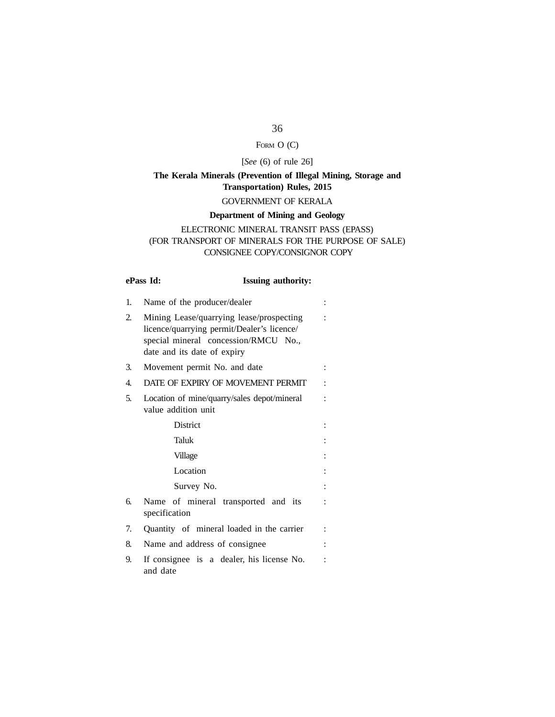# FORM O (C)

# [*See* (6) of rule 26]

# **The Kerala Minerals (Prevention of Illegal Mining, Storage and Transportation) Rules, 2015** GOVERNMENT OF KERALA

# **Department of Mining and Geology**

# ELECTRONIC MINERAL TRANSIT PASS (EPASS) (FOR TRANSPORT OF MINERALS FOR THE PURPOSE OF SALE) CONSIGNEE COPY/CONSIGNOR COPY

# **ePass Id: Issuing authority:**

| 1. | Name of the producer/dealer                                                                                                                                   |  |
|----|---------------------------------------------------------------------------------------------------------------------------------------------------------------|--|
| 2. | Mining Lease/quarrying lease/prospecting<br>licence/quarrying permit/Dealer's licence/<br>special mineral concession/RMCU No.,<br>date and its date of expiry |  |
| 3. | Movement permit No. and date                                                                                                                                  |  |
| 4. | DATE OF EXPIRY OF MOVEMENT PERMIT                                                                                                                             |  |
| 5. | Location of mine/quarry/sales depot/mineral<br>value addition unit                                                                                            |  |
|    | <b>District</b>                                                                                                                                               |  |
|    | Taluk                                                                                                                                                         |  |
|    | Village                                                                                                                                                       |  |
|    | Location                                                                                                                                                      |  |
|    | Survey No.                                                                                                                                                    |  |
| б. | Name of mineral transported and its<br>specification                                                                                                          |  |
| 7. | Quantity of mineral loaded in the carrier                                                                                                                     |  |
| 8. | Name and address of consignee                                                                                                                                 |  |
| 9. | If consignee is a dealer, his license No.<br>and date                                                                                                         |  |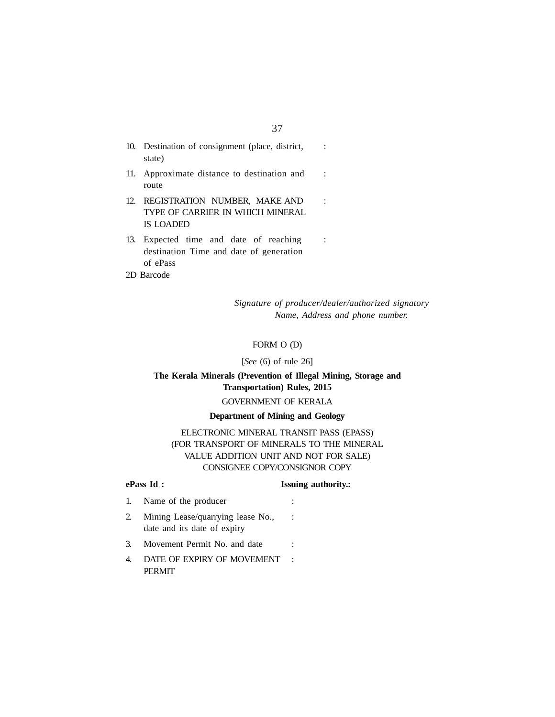| 10. Destination of consignment (place, district,<br>state)                                |  |
|-------------------------------------------------------------------------------------------|--|
| 11. Approximate distance to destination and<br>route                                      |  |
| 12. REGISTRATION NUMBER, MAKE AND<br>TYPE OF CARRIER IN WHICH MINERAL<br><b>IS LOADED</b> |  |
| 12 Equipment time and data of modeling                                                    |  |

- 13. Expected time and date of reaching : destination Time and date of generation of ePass
- 2D Barcode

*Signature of producer/dealer/authorized signatory Name, Address and phone number.*

# FORM O (D)

#### [*See* (6) of rule 26]

# **The Kerala Minerals (Prevention of Illegal Mining, Storage and Transportation) Rules, 2015**

# GOVERNMENT OF KERALA

#### **Department of Mining and Geology**

ELECTRONIC MINERAL TRANSIT PASS (EPASS) (FOR TRANSPORT OF MINERALS TO THE MINERAL VALUE ADDITION UNIT AND NOT FOR SALE) CONSIGNEE COPY/CONSIGNOR COPY

# **ePass Id :** Issuing authority.:

- 1. Name of the producer :
- 2. Mining Lease/quarrying lease No., : date and its date of expiry
- 3. Movement Permit No. and date :
- 4. DATE OF EXPIRY OF MOVEMENT : PERMIT

### 37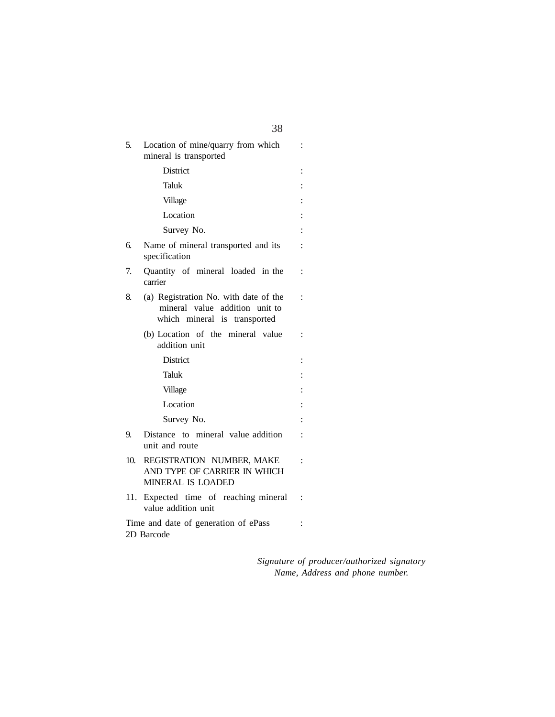| 5.  | Location of mine/quarry from which<br>mineral is transported                                            | $\ddot{\cdot}$ |
|-----|---------------------------------------------------------------------------------------------------------|----------------|
|     | District                                                                                                | $\ddot{\cdot}$ |
|     | Taluk                                                                                                   |                |
|     | Village                                                                                                 | $\ddot{\cdot}$ |
|     | Location                                                                                                | $\ddot{\cdot}$ |
|     | Survey No.                                                                                              | $\vdots$       |
| б.  | Name of mineral transported and its<br>specification                                                    | $\ddot{\cdot}$ |
| 7.  | Quantity of mineral loaded in the<br>carrier                                                            | $\ddot{\cdot}$ |
| 8.  | (a) Registration No. with date of the<br>mineral value addition unit to<br>which mineral is transported | $\ddot{\cdot}$ |
|     | (b) Location of the mineral value<br>addition unit                                                      | $\ddot{\cdot}$ |
|     | <b>District</b>                                                                                         | $\vdots$       |
|     | Taluk                                                                                                   |                |
|     | Village                                                                                                 |                |
|     | Location                                                                                                |                |
|     | Survey No.                                                                                              |                |
| 9.  | Distance to mineral value addition<br>unit and route                                                    | $\ddot{\cdot}$ |
| 10. | REGISTRATION NUMBER, MAKE<br>AND TYPE OF CARRIER IN WHICH<br>MINERAL IS LOADED                          | $\ddot{\cdot}$ |
|     | 11. Expected time of reaching mineral<br>value addition unit                                            | $\ddot{\cdot}$ |
|     | Time and date of generation of ePass<br>2D Barcode                                                      |                |

*Signature of producer/authorized signatory Name, Address and phone number.*

38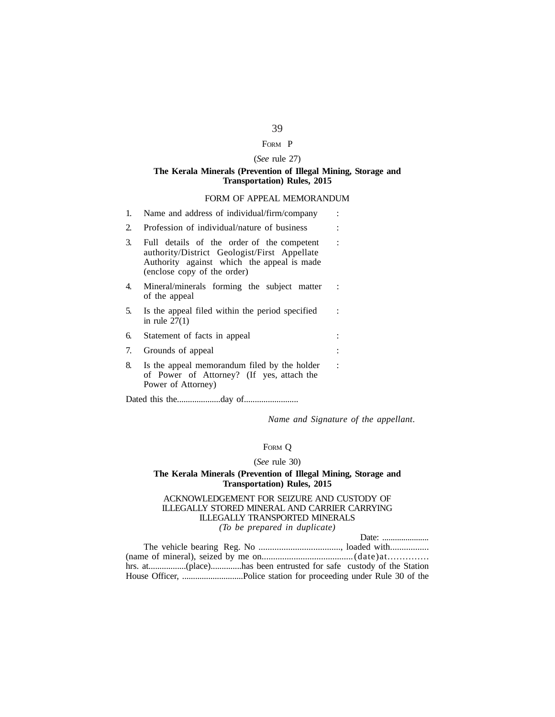## FORM P

## (*See* rule 27)

#### **The Kerala Minerals (Prevention of Illegal Mining, Storage and Transportation) Rules, 2015**

#### FORM OF APPEAL MEMORANDUM

| 1. | Name and address of individual/firm/company                                                                                                                             |                |
|----|-------------------------------------------------------------------------------------------------------------------------------------------------------------------------|----------------|
| 2. | Profession of individual/nature of business                                                                                                                             |                |
| 3. | Full details of the order of the competent<br>authority/District Geologist/First Appellate<br>Authority against which the appeal is made<br>(enclose copy of the order) | $\ddot{\cdot}$ |
| 4. | Mineral/minerals forming the subject matter<br>of the appeal                                                                                                            |                |
| 5. | Is the appeal filed within the period specified<br>in rule $27(1)$                                                                                                      |                |
| 6. | Statement of facts in appeal                                                                                                                                            |                |
| 7. | Grounds of appeal                                                                                                                                                       |                |
| 8. | Is the appeal memorandum filed by the holder<br>of Power of Attorney? (If yes, attach the<br>Power of Attorney)                                                         | $\ddot{\cdot}$ |
|    |                                                                                                                                                                         |                |

Dated this the....................day of.........................

*Name and Signature of the appellant*.

# FORM Q

#### (*See* rule 30)

#### **The Kerala Minerals (Prevention of Illegal Mining, Storage and Transportation) Rules, 2015**

#### ACKNOWLEDGEMENT FOR SEIZURE AND CUSTODY OF ILLEGALLY STORED MINERAL AND CARRIER CARRYING ILLEGALLY TRANSPORTED MINERALS *(To be prepared in duplicate)*

|  | Date: $\ldots$ |
|--|----------------|
|  |                |
|  |                |
|  |                |
|  |                |